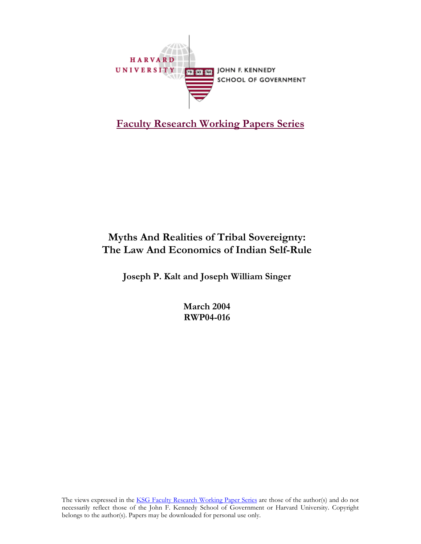

# **Faculty Research Working Papers Series**

# **Myths And Realities of Tribal Sovereignty: The Law And Economics of Indian Self-Rule**

**Joseph P. Kalt and Joseph William Singer** 

**March 2004 RWP04-016** 

The views expressed in the KSG Faculty Research Working Paper Series are those of the author(s) and do not necessarily reflect those of the John F. Kennedy School of Government or Harvard University. Copyright belongs to the author(s). Papers may be downloaded for personal use only.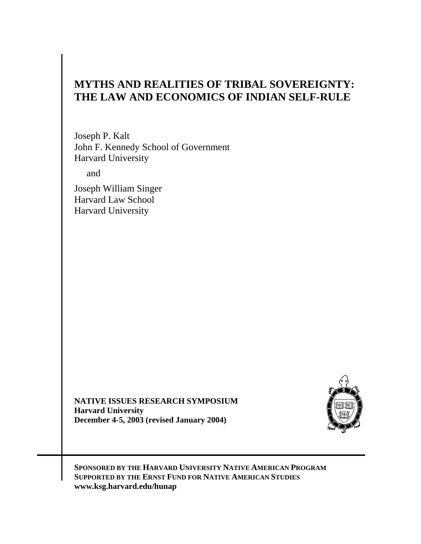# **MYTHS AND REALITIES OF TRIBAL SOVEREIGNTY: THE LAW AND ECONOMICS OF INDIAN SELF-RULE**

Joseph P. Kalt John F. Kennedy School of Government Harvard University

and

Joseph William Singer Harvard Law School Harvard University



**NATIVE ISSUES RESEARCH SYMPOSIUM Harvard University December 4-5, 2003 (revised January 2004)** 

 **SPONSORED BY THE HARVARD UNIVERSITY NATIVE AMERICAN PROGRAM SUPPORTED BY THE ERNST FUND FOR NATIVE AMERICAN STUDIES www.ksg.harvard.edu/hunap**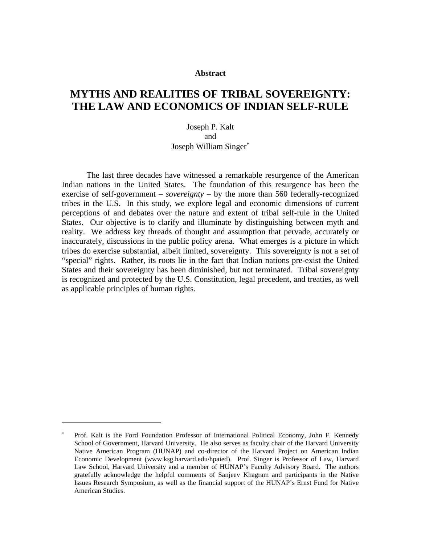#### **Abstract**

## **MYTHS AND REALITIES OF TRIBAL SOVEREIGNTY: THE LAW AND ECONOMICS OF INDIAN SELF-RULE**

Joseph P. Kalt and Joseph William Singer[∗](#page-2-0)

The last three decades have witnessed a remarkable resurgence of the American Indian nations in the United States. The foundation of this resurgence has been the exercise of self-government – *sovereignty* – by the more than 560 federally-recognized tribes in the U.S. In this study, we explore legal and economic dimensions of current perceptions of and debates over the nature and extent of tribal self-rule in the United States. Our objective is to clarify and illuminate by distinguishing between myth and reality. We address key threads of thought and assumption that pervade, accurately or inaccurately, discussions in the public policy arena. What emerges is a picture in which tribes do exercise substantial, albeit limited, sovereignty. This sovereignty is not a set of "special" rights. Rather, its roots lie in the fact that Indian nations pre-exist the United States and their sovereignty has been diminished, but not terminated. Tribal sovereignty is recognized and protected by the U.S. Constitution, legal precedent, and treaties, as well as applicable principles of human rights.

<span id="page-2-0"></span><sup>∗</sup> Prof. Kalt is the Ford Foundation Professor of International Political Economy, John F. Kennedy School of Government, Harvard University. He also serves as faculty chair of the Harvard University Native American Program (HUNAP) and co-director of the Harvard Project on American Indian Economic Development (www.ksg.harvard.edu/hpaied). Prof. Singer is Professor of Law, Harvard Law School, Harvard University and a member of HUNAP's Faculty Advisory Board. The authors gratefully acknowledge the helpful comments of Sanjeev Khagram and participants in the Native Issues Research Symposium, as well as the financial support of the HUNAP's Ernst Fund for Native American Studies.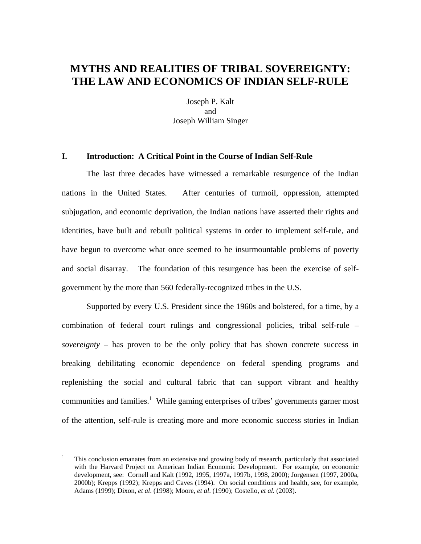## **MYTHS AND REALITIES OF TRIBAL SOVEREIGNTY: THE LAW AND ECONOMICS OF INDIAN SELF-RULE**

Joseph P. Kalt and Joseph William Singer

#### **I. Introduction: A Critical Point in the Course of Indian Self-Rule**

The last three decades have witnessed a remarkable resurgence of the Indian nations in the United States. After centuries of turmoil, oppression, attempted subjugation, and economic deprivation, the Indian nations have asserted their rights and identities, have built and rebuilt political systems in order to implement self-rule, and have begun to overcome what once seemed to be insurmountable problems of poverty and social disarray. The foundation of this resurgence has been the exercise of selfgovernment by the more than 560 federally-recognized tribes in the U.S.

Supported by every U.S. President since the 1960s and bolstered, for a time, by a combination of federal court rulings and congressional policies, tribal self-rule – *sovereignty* – has proven to be the only policy that has shown concrete success in breaking debilitating economic dependence on federal spending programs and replenishing the social and cultural fabric that can support vibrant and healthy communities and families.<sup>1</sup> While gaming enterprises of tribes' governments garner most of the attention, self-rule is creating more and more economic success stories in Indian

<span id="page-3-0"></span><sup>&</sup>lt;sup>1</sup> This conclusion emanates from an extensive and growing body of research, particularly that associated with the Harvard Project on American Indian Economic Development. For example, on economic development, see: Cornell and Kalt (1992, 1995, 1997a, 1997b, 1998, 2000); Jorgensen (1997, 2000a, 2000b); Krepps (1992); Krepps and Caves (1994). On social conditions and health, see, for example, Adams (1999); Dixon, *et al*. (1998); Moore, *et al*. (1990); Costello, *et al.* (2003).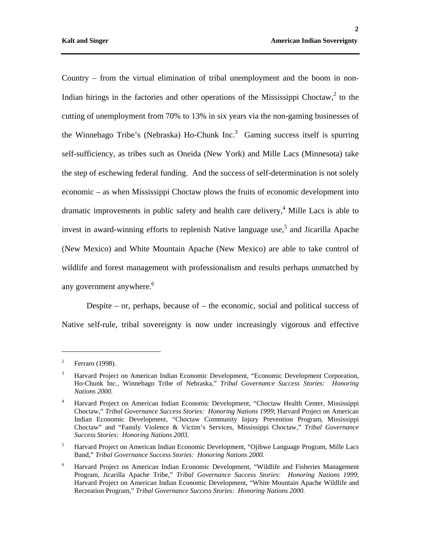Country – from the virtual elimination of tribal unemployment and the boom in non-Indian hirings in the factories and other operations of the Mississippi Choctaw, $2$  to the cutting of unemployment from 70% to 13% in six years via the non-gaming businesses of the Winnebago Tribe's (Nebraska) Ho-Chunk Inc.<sup>3</sup> Gaming success itself is spurring self-sufficiency, as tribes such as Oneida (New York) and Mille Lacs (Minnesota) take the step of eschewing federal funding. And the success of self-determination is not solely economic – as when Mississippi Choctaw plows the fruits of economic development into dramatic improvements in public safety and health care delivery, $<sup>4</sup>$  Mille Lacs is able to</sup> invest in award-winning efforts to replenish Native language use,<sup>5</sup> and Jicarilla Apache (New Mexico) and White Mountain Apache (New Mexico) are able to take control of wildlife and forest management with professionalism and results perhaps unmatched by any government anywhere.<sup>6</sup>

Despite – or, perhaps, because of – the economic, social and political success of Native self-rule, tribal sovereignty is now under increasingly vigorous and effective

<span id="page-4-0"></span><sup>2</sup> Ferraro (1998).

<span id="page-4-1"></span><sup>3</sup> Harvard Project on American Indian Economic Development, "Economic Development Corporation, Ho-Chunk Inc., Winnebago Tribe of Nebraska," *Tribal Governance Success Stories: Honoring Nations 2000.*

<span id="page-4-2"></span><sup>4</sup> Harvard Project on American Indian Economic Development, "Choctaw Health Center, Mississippi Choctaw," *Tribal Governance Success Stories: Honoring Nations 1999*; Harvard Project on American Indian Economic Development, "Choctaw Community Injury Prevention Program, Mississippi Choctaw" and "Family Violence & Victim's Services, Mississippi Choctaw," *Tribal Governance Success Stories: Honoring Nations 2003.*

<span id="page-4-3"></span><sup>5</sup> Harvard Project on American Indian Economic Development, "Ojibwe Language Program, Mille Lacs Band," *Tribal Governance Success Stories: Honoring Nations 2000.*

<span id="page-4-4"></span><sup>6</sup> Harvard Project on American Indian Economic Development, "Wildlife and Fisheries Management Program, Jicarilla Apache Tribe," *Tribal Governance Success Stories: Honoring Nations 1999*; Harvard Project on American Indian Economic Development, "White Mountain Apache Wildlife and Recreation Program," *Tribal Governance Success Stories: Honoring Nations 2000.*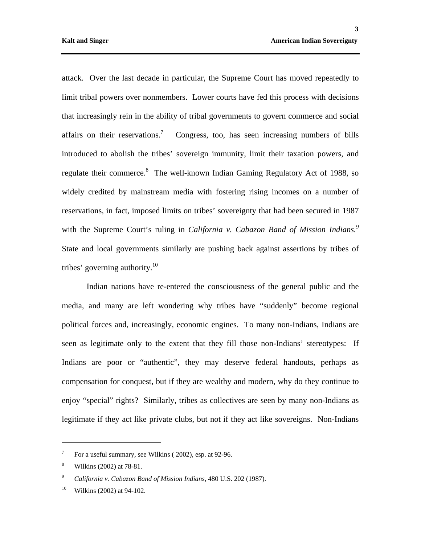attack. Over the last decade in particular, the Supreme Court has moved repeatedly to limit tribal powers over nonmembers. Lower courts have fed this process with decisions that increasingly rein in the ability of tribal governments to govern commerce and social affairs on their reservations.<sup>7</sup> Congress, too, has seen increasing numbers of bills introduced to abolish the tribes' sovereign immunity, limit their taxation powers, and regulate their commerce.<sup>8</sup> The well-known Indian Gaming Regulatory Act of 1988, so widely credited by mainstream media with fostering rising incomes on a number of reservations, in fact, imposed limits on tribes' sovereignty that had been secured in 1987 with the Supreme Court's ruling in *California v. Cabazon Band of Mission Indians.[9](#page-5-2)* State and local governments similarly are pushing back against assertions by tribes of tribes' governing authority.<sup>10</sup>

Indian nations have re-entered the consciousness of the general public and the media, and many are left wondering why tribes have "suddenly" become regional political forces and, increasingly, economic engines. To many non-Indians, Indians are seen as legitimate only to the extent that they fill those non-Indians' stereotypes: If Indians are poor or "authentic", they may deserve federal handouts, perhaps as compensation for conquest, but if they are wealthy and modern, why do they continue to enjoy "special" rights? Similarly, tribes as collectives are seen by many non-Indians as legitimate if they act like private clubs, but not if they act like sovereigns. Non-Indians

<span id="page-5-0"></span><sup>7</sup> For a useful summary, see Wilkins ( 2002), esp. at 92-96.

<span id="page-5-1"></span><sup>8</sup> Wilkins (2002) at 78-81.

<span id="page-5-2"></span><sup>9</sup> *California v. Cabazon Band of Mission Indians,* 480 U.S. 202 (1987).

<span id="page-5-3"></span><sup>10</sup> Wilkins (2002) at 94-102.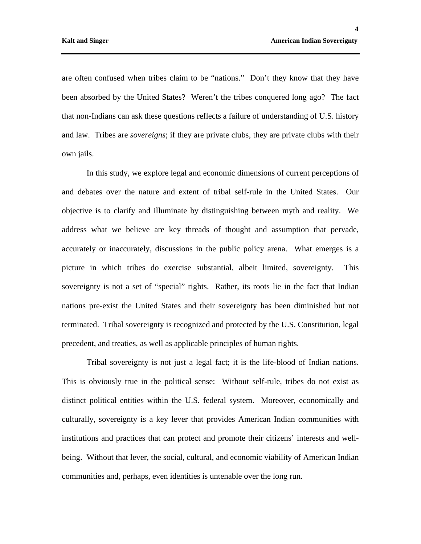are often confused when tribes claim to be "nations." Don't they know that they have been absorbed by the United States? Weren't the tribes conquered long ago? The fact that non-Indians can ask these questions reflects a failure of understanding of U.S. history and law. Tribes are *sovereigns*; if they are private clubs, they are private clubs with their own jails.

In this study, we explore legal and economic dimensions of current perceptions of and debates over the nature and extent of tribal self-rule in the United States. Our objective is to clarify and illuminate by distinguishing between myth and reality. We address what we believe are key threads of thought and assumption that pervade, accurately or inaccurately, discussions in the public policy arena. What emerges is a picture in which tribes do exercise substantial, albeit limited, sovereignty. This sovereignty is not a set of "special" rights. Rather, its roots lie in the fact that Indian nations pre-exist the United States and their sovereignty has been diminished but not terminated. Tribal sovereignty is recognized and protected by the U.S. Constitution, legal precedent, and treaties, as well as applicable principles of human rights.

Tribal sovereignty is not just a legal fact; it is the life-blood of Indian nations. This is obviously true in the political sense: Without self-rule, tribes do not exist as distinct political entities within the U.S. federal system. Moreover, economically and culturally, sovereignty is a key lever that provides American Indian communities with institutions and practices that can protect and promote their citizens' interests and wellbeing. Without that lever, the social, cultural, and economic viability of American Indian communities and, perhaps, even identities is untenable over the long run.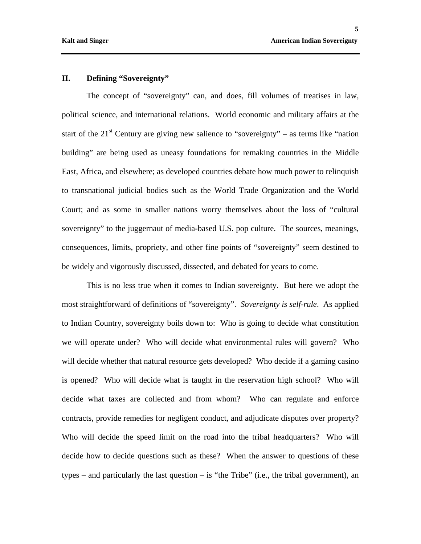### **II. Defining "Sovereignty"**

The concept of "sovereignty" can, and does, fill volumes of treatises in law, political science, and international relations. World economic and military affairs at the start of the  $21<sup>st</sup>$  Century are giving new salience to "sovereignty" – as terms like "nation building" are being used as uneasy foundations for remaking countries in the Middle East, Africa, and elsewhere; as developed countries debate how much power to relinquish to transnational judicial bodies such as the World Trade Organization and the World Court; and as some in smaller nations worry themselves about the loss of "cultural sovereignty" to the juggernaut of media-based U.S. pop culture. The sources, meanings, consequences, limits, propriety, and other fine points of "sovereignty" seem destined to be widely and vigorously discussed, dissected, and debated for years to come.

This is no less true when it comes to Indian sovereignty. But here we adopt the most straightforward of definitions of "sovereignty". *Sovereignty is self-rule*. As applied to Indian Country, sovereignty boils down to: Who is going to decide what constitution we will operate under? Who will decide what environmental rules will govern? Who will decide whether that natural resource gets developed? Who decide if a gaming casino is opened? Who will decide what is taught in the reservation high school? Who will decide what taxes are collected and from whom? Who can regulate and enforce contracts, provide remedies for negligent conduct, and adjudicate disputes over property? Who will decide the speed limit on the road into the tribal headquarters? Who will decide how to decide questions such as these? When the answer to questions of these types – and particularly the last question – is "the Tribe" (i.e., the tribal government), an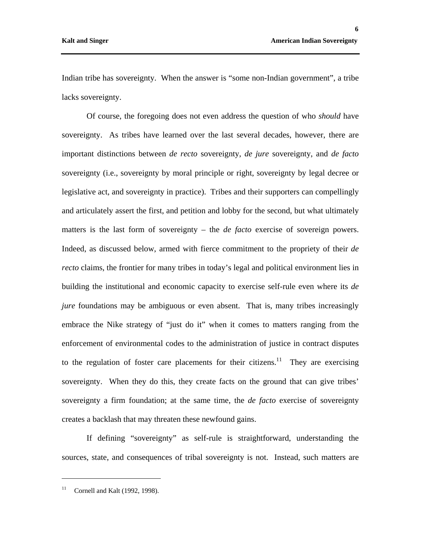Indian tribe has sovereignty. When the answer is "some non-Indian government", a tribe lacks sovereignty.

Of course, the foregoing does not even address the question of who *should* have sovereignty. As tribes have learned over the last several decades, however, there are important distinctions between *de recto* sovereignty, *de jure* sovereignty, and *de facto*  sovereignty (i.e., sovereignty by moral principle or right, sovereignty by legal decree or legislative act, and sovereignty in practice). Tribes and their supporters can compellingly and articulately assert the first, and petition and lobby for the second, but what ultimately matters is the last form of sovereignty – the *de facto* exercise of sovereign powers. Indeed, as discussed below, armed with fierce commitment to the propriety of their *de recto* claims, the frontier for many tribes in today's legal and political environment lies in building the institutional and economic capacity to exercise self-rule even where its *de jure* foundations may be ambiguous or even absent. That is, many tribes increasingly embrace the Nike strategy of "just do it" when it comes to matters ranging from the enforcement of environmental codes to the administration of justice in contract disputes to the regulation of foster care placements for their citizens.<sup>11</sup> They are exercising sovereignty. When they do this, they create facts on the ground that can give tribes' sovereignty a firm foundation; at the same time, the *de facto* exercise of sovereignty creates a backlash that may threaten these newfound gains.

If defining "sovereignty" as self-rule is straightforward, understanding the sources, state, and consequences of tribal sovereignty is not. Instead, such matters are

<u>.</u>

<span id="page-8-0"></span>Cornell and Kalt (1992, 1998).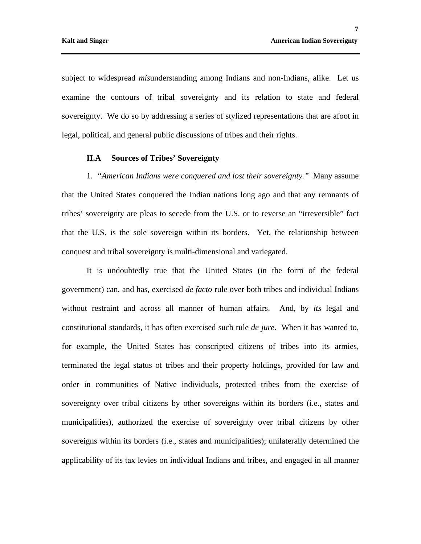subject to widespread *mis*understanding among Indians and non-Indians, alike. Let us examine the contours of tribal sovereignty and its relation to state and federal sovereignty. We do so by addressing a series of stylized representations that are afoot in legal, political, and general public discussions of tribes and their rights.

#### **II.A Sources of Tribes' Sovereignty**

1. *"American Indians were conquered and lost their sovereignty."* Many assume that the United States conquered the Indian nations long ago and that any remnants of tribes' sovereignty are pleas to secede from the U.S. or to reverse an "irreversible" fact that the U.S. is the sole sovereign within its borders. Yet, the relationship between conquest and tribal sovereignty is multi-dimensional and variegated.

It is undoubtedly true that the United States (in the form of the federal government) can, and has, exercised *de facto* rule over both tribes and individual Indians without restraint and across all manner of human affairs. And, by *its* legal and constitutional standards, it has often exercised such rule *de jure*. When it has wanted to, for example, the United States has conscripted citizens of tribes into its armies, terminated the legal status of tribes and their property holdings, provided for law and order in communities of Native individuals, protected tribes from the exercise of sovereignty over tribal citizens by other sovereigns within its borders (i.e., states and municipalities), authorized the exercise of sovereignty over tribal citizens by other sovereigns within its borders (i.e., states and municipalities); unilaterally determined the applicability of its tax levies on individual Indians and tribes, and engaged in all manner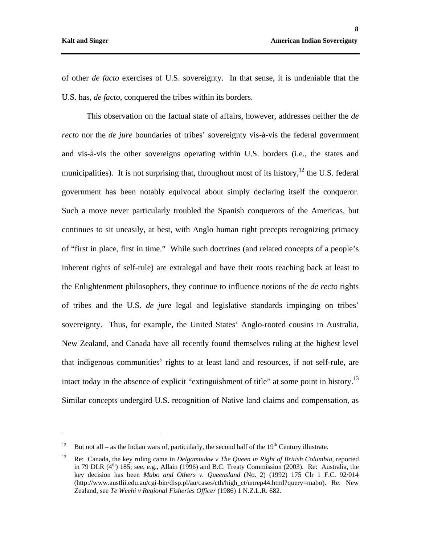of other *de facto* exercises of U.S. sovereignty. In that sense, it is undeniable that the U.S. has, *de facto*, conquered the tribes within its borders.

This observation on the factual state of affairs, however, addresses neither the *de recto* nor the *de jure* boundaries of tribes' sovereignty vis-à-vis the federal government and vis-à-vis the other sovereigns operating within U.S. borders (i.e., the states and municipalities). It is not surprising that, throughout most of its history,  $^{12}$  the U.S. federal government has been notably equivocal about simply declaring itself the conqueror. Such a move never particularly troubled the Spanish conquerors of the Americas, but continues to sit uneasily, at best, with Anglo human right precepts recognizing primacy of "first in place, first in time." While such doctrines (and related concepts of a people's inherent rights of self-rule) are extralegal and have their roots reaching back at least to the Enlightenment philosophers, they continue to influence notions of the *de recto* rights of tribes and the U.S. *de jure* legal and legislative standards impinging on tribes' sovereignty. Thus, for example, the United States' Anglo-rooted cousins in Australia, New Zealand, and Canada have all recently found themselves ruling at the highest level that indigenous communities' rights to at least land and resources, if not self-rule, are intact today in the absence of explicit "extinguishment of title" at some point in history.<sup>13</sup> Similar concepts undergird U.S. recognition of Native land claims and compensation, as

<span id="page-10-0"></span><sup>&</sup>lt;sup>12</sup> But not all – as the Indian wars of, particularly, the second half of the 19<sup>th</sup> Century illustrate.

<span id="page-10-1"></span><sup>13</sup> Re: Canada, the key ruling came in *Delgamuukw v The Queen in Right of British Columbia*, reported in 79 DLR  $(4<sup>th</sup>)$  185; see, e.g., Allain (1996) and B.C. Treaty Commission (2003). Re: Australia, the key decision has been *Mabo and Others v. Queensland* (No. 2) (1992) 175 Clr 1 F.C. 92/014 (http://www.austlii.edu.au/cgi-bin/disp.pl/au/cases/cth/high\_ct/unrep44.html?query=mabo). Re: New Zealand, see *Te Weehi v Regional Fisheries Officer* (1986) 1 N.Z.L.R. 682.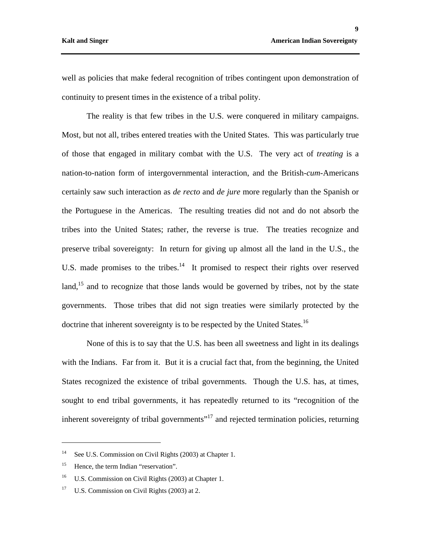well as policies that make federal recognition of tribes contingent upon demonstration of continuity to present times in the existence of a tribal polity.

The reality is that few tribes in the U.S. were conquered in military campaigns. Most, but not all, tribes entered treaties with the United States. This was particularly true of those that engaged in military combat with the U.S. The very act of *treating* is a nation-to-nation form of intergovernmental interaction, and the British-*cum-*Americans certainly saw such interaction as *de recto* and *de jure* more regularly than the Spanish or the Portuguese in the Americas. The resulting treaties did not and do not absorb the tribes into the United States; rather, the reverse is true. The treaties recognize and preserve tribal sovereignty: In return for giving up almost all the land in the U.S., the U.S. made promises to the tribes.<sup>14</sup> It promised to respect their rights over reserved land, $15$  and to recognize that those lands would be governed by tribes, not by the state governments. Those tribes that did not sign treaties were similarly protected by the doctrine that inherent sovereignty is to be respected by the United States.<sup>16</sup>

None of this is to say that the U.S. has been all sweetness and light in its dealings with the Indians. Far from it. But it is a crucial fact that, from the beginning, the United States recognized the existence of tribal governments. Though the U.S. has, at times, sought to end tribal governments, it has repeatedly returned to its "recognition of the inherent sovereignty of tribal governments<sup>"17</sup> and rejected termination policies, returning

<u>.</u>

<span id="page-11-0"></span><sup>&</sup>lt;sup>14</sup> See U.S. Commission on Civil Rights (2003) at Chapter 1.

<span id="page-11-1"></span><sup>&</sup>lt;sup>15</sup> Hence, the term Indian "reservation".

<span id="page-11-2"></span><sup>&</sup>lt;sup>16</sup> U.S. Commission on Civil Rights (2003) at Chapter 1.

<span id="page-11-3"></span><sup>&</sup>lt;sup>17</sup> U.S. Commission on Civil Rights (2003) at 2.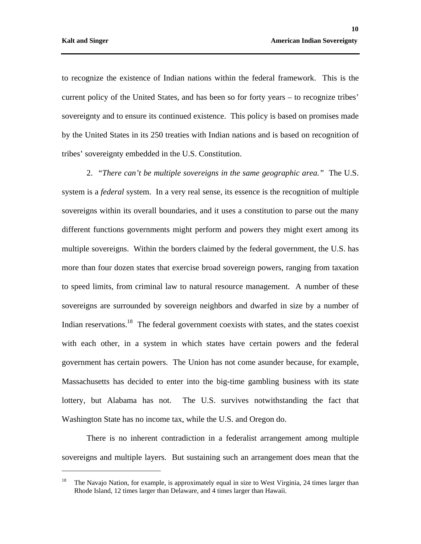**10**

to recognize the existence of Indian nations within the federal framework. This is the current policy of the United States, and has been so for forty years – to recognize tribes' sovereignty and to ensure its continued existence. This policy is based on promises made by the United States in its 250 treaties with Indian nations and is based on recognition of tribes' sovereignty embedded in the U.S. Constitution.

2. *"There can't be multiple sovereigns in the same geographic area."* The U.S. system is a *federal* system. In a very real sense, its essence is the recognition of multiple sovereigns within its overall boundaries, and it uses a constitution to parse out the many different functions governments might perform and powers they might exert among its multiple sovereigns. Within the borders claimed by the federal government, the U.S. has more than four dozen states that exercise broad sovereign powers, ranging from taxation to speed limits, from criminal law to natural resource management. A number of these sovereigns are surrounded by sovereign neighbors and dwarfed in size by a number of Indian reservations.<sup>18</sup> The federal government coexists with states, and the states coexist with each other, in a system in which states have certain powers and the federal government has certain powers. The Union has not come asunder because, for example, Massachusetts has decided to enter into the big-time gambling business with its state lottery, but Alabama has not. The U.S. survives notwithstanding the fact that Washington State has no income tax, while the U.S. and Oregon do.

There is no inherent contradiction in a federalist arrangement among multiple sovereigns and multiple layers. But sustaining such an arrangement does mean that the

<span id="page-12-0"></span><sup>&</sup>lt;sup>18</sup> The Navajo Nation, for example, is approximately equal in size to West Virginia, 24 times larger than Rhode Island, 12 times larger than Delaware, and 4 times larger than Hawaii.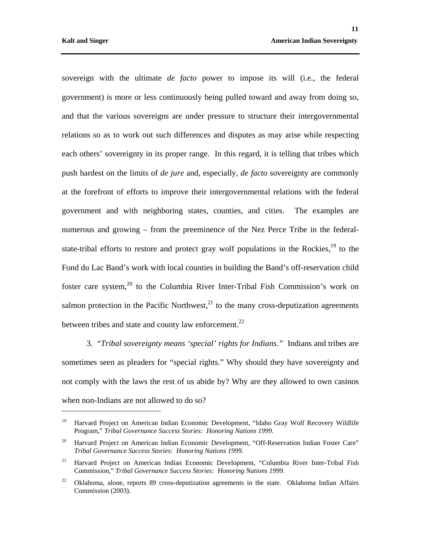sovereign with the ultimate *de facto* power to impose its will (i.e., the federal government) is more or less continuously being pulled toward and away from doing so, and that the various sovereigns are under pressure to structure their intergovernmental relations so as to work out such differences and disputes as may arise while respecting each others' sovereignty in its proper range. In this regard, it is telling that tribes which push hardest on the limits of *de jure* and, especially, *de facto* sovereignty are commonly at the forefront of efforts to improve their intergovernmental relations with the federal government and with neighboring states, counties, and cities. The examples are numerous and growing – from the preeminence of the Nez Perce Tribe in the federalstate-tribal efforts to restore and protect gray wolf populations in the Rockies,  $19$  to the Fond du Lac Band's work with local counties in building the Band's off-reservation child foster care system,<sup>20</sup> to the Columbia River Inter-Tribal Fish Commission's work on salmon protection in the Pacific Northwest, $^{21}$  to the many cross-deputization agreements between tribes and state and county law enforcement. $^{22}$ 

3. "*Tribal sovereignty means 'special' rights for Indians."* Indians and tribes are sometimes seen as pleaders for "special rights." Why should they have sovereignty and not comply with the laws the rest of us abide by? Why are they allowed to own casinos when non-Indians are not allowed to do so?

<span id="page-13-0"></span><sup>&</sup>lt;sup>19</sup> Harvard Project on American Indian Economic Development, "Idaho Gray Wolf Recovery Wildlife Program," *Tribal Governance Success Stories: Honoring Nations 1999*.

<span id="page-13-1"></span><sup>&</sup>lt;sup>20</sup> Harvard Project on American Indian Economic Development, "Off-Reservation Indian Foster Care" *Tribal Governance Success Stories: Honoring Nations 1999.*

<span id="page-13-2"></span><sup>&</sup>lt;sup>21</sup> Harvard Project on American Indian Economic Development, "Columbia River Inter-Tribal Fish Commission," *Tribal Governance Success Stories: Honoring Nations 1999.*

<span id="page-13-3"></span> $22$  Oklahoma, alone, reports 89 cross-deputization agreements in the state. Oklahoma Indian Affairs Commission (2003).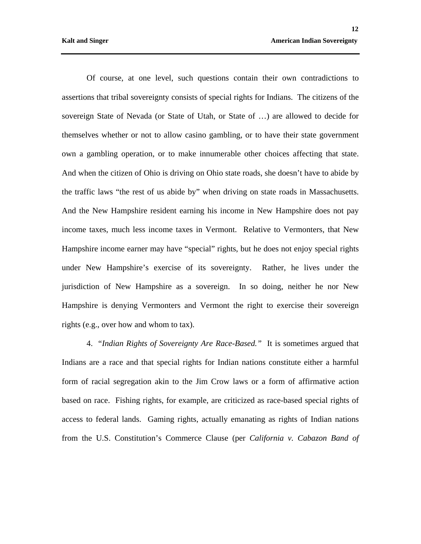Of course, at one level, such questions contain their own contradictions to assertions that tribal sovereignty consists of special rights for Indians. The citizens of the sovereign State of Nevada (or State of Utah, or State of …) are allowed to decide for themselves whether or not to allow casino gambling, or to have their state government own a gambling operation, or to make innumerable other choices affecting that state. And when the citizen of Ohio is driving on Ohio state roads, she doesn't have to abide by the traffic laws "the rest of us abide by" when driving on state roads in Massachusetts. And the New Hampshire resident earning his income in New Hampshire does not pay income taxes, much less income taxes in Vermont. Relative to Vermonters, that New Hampshire income earner may have "special" rights, but he does not enjoy special rights under New Hampshire's exercise of its sovereignty. Rather, he lives under the jurisdiction of New Hampshire as a sovereign. In so doing, neither he nor New Hampshire is denying Vermonters and Vermont the right to exercise their sovereign rights (e.g., over how and whom to tax).

4. "*Indian Rights of Sovereignty Are Race-Based."* It is sometimes argued that Indians are a race and that special rights for Indian nations constitute either a harmful form of racial segregation akin to the Jim Crow laws or a form of affirmative action based on race. Fishing rights, for example, are criticized as race-based special rights of access to federal lands. Gaming rights, actually emanating as rights of Indian nations from the U.S. Constitution's Commerce Clause (per *California v. Cabazon Band of*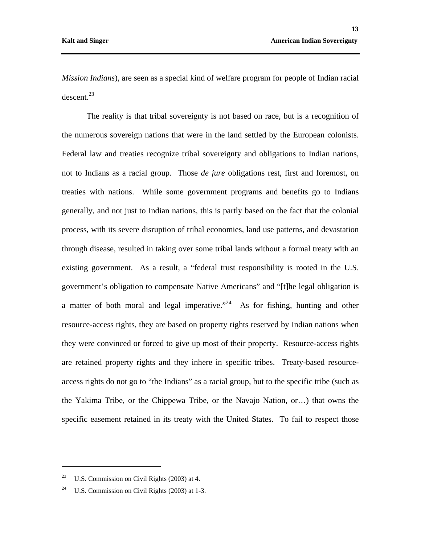*Mission Indians*), are seen as a special kind of welfare program for people of Indian racial descent[.23](#page-15-0)

The reality is that tribal sovereignty is not based on race, but is a recognition of the numerous sovereign nations that were in the land settled by the European colonists. Federal law and treaties recognize tribal sovereignty and obligations to Indian nations, not to Indians as a racial group. Those *de jure* obligations rest, first and foremost, on treaties with nations. While some government programs and benefits go to Indians generally, and not just to Indian nations, this is partly based on the fact that the colonial process, with its severe disruption of tribal economies, land use patterns, and devastation through disease, resulted in taking over some tribal lands without a formal treaty with an existing government. As a result, a "federal trust responsibility is rooted in the U.S. government's obligation to compensate Native Americans" and "[t]he legal obligation is a matter of both moral and legal imperative."<sup>24</sup> As for fishing, hunting and other resource-access rights, they are based on property rights reserved by Indian nations when they were convinced or forced to give up most of their property. Resource-access rights are retained property rights and they inhere in specific tribes. Treaty-based resourceaccess rights do not go to "the Indians" as a racial group, but to the specific tribe (such as the Yakima Tribe, or the Chippewa Tribe, or the Navajo Nation, or…) that owns the specific easement retained in its treaty with the United States. To fail to respect those

<span id="page-15-0"></span><sup>&</sup>lt;sup>23</sup> U.S. Commission on Civil Rights (2003) at 4.

<span id="page-15-1"></span><sup>&</sup>lt;sup>24</sup> U.S. Commission on Civil Rights (2003) at 1-3.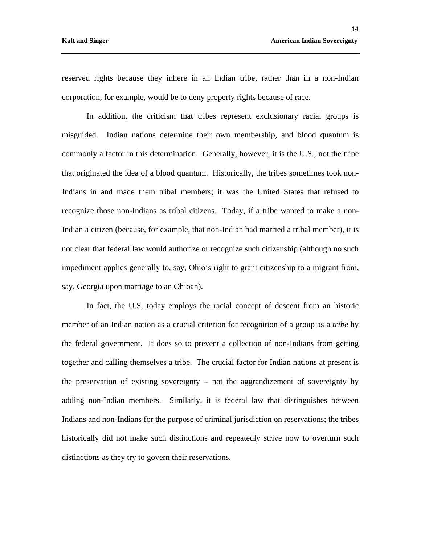reserved rights because they inhere in an Indian tribe, rather than in a non-Indian corporation, for example, would be to deny property rights because of race.

In addition, the criticism that tribes represent exclusionary racial groups is misguided. Indian nations determine their own membership, and blood quantum is commonly a factor in this determination. Generally, however, it is the U.S., not the tribe that originated the idea of a blood quantum. Historically, the tribes sometimes took non-Indians in and made them tribal members; it was the United States that refused to recognize those non-Indians as tribal citizens. Today, if a tribe wanted to make a non-Indian a citizen (because, for example, that non-Indian had married a tribal member), it is not clear that federal law would authorize or recognize such citizenship (although no such impediment applies generally to, say, Ohio's right to grant citizenship to a migrant from, say, Georgia upon marriage to an Ohioan).

In fact, the U.S. today employs the racial concept of descent from an historic member of an Indian nation as a crucial criterion for recognition of a group as a *tribe* by the federal government. It does so to prevent a collection of non-Indians from getting together and calling themselves a tribe. The crucial factor for Indian nations at present is the preservation of existing sovereignty – not the aggrandizement of sovereignty by adding non-Indian members. Similarly, it is federal law that distinguishes between Indians and non-Indians for the purpose of criminal jurisdiction on reservations; the tribes historically did not make such distinctions and repeatedly strive now to overturn such distinctions as they try to govern their reservations.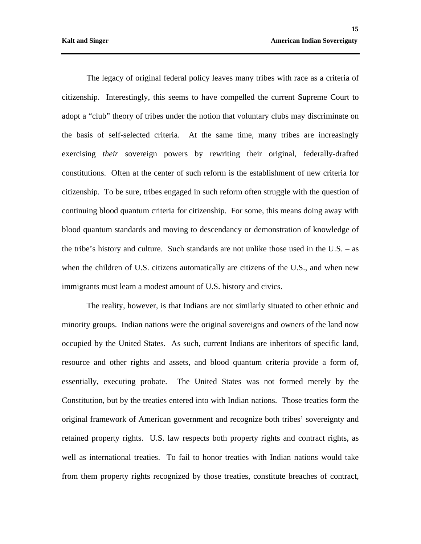The legacy of original federal policy leaves many tribes with race as a criteria of citizenship. Interestingly, this seems to have compelled the current Supreme Court to adopt a "club" theory of tribes under the notion that voluntary clubs may discriminate on the basis of self-selected criteria. At the same time, many tribes are increasingly exercising *their* sovereign powers by rewriting their original, federally-drafted constitutions. Often at the center of such reform is the establishment of new criteria for citizenship. To be sure, tribes engaged in such reform often struggle with the question of continuing blood quantum criteria for citizenship. For some, this means doing away with blood quantum standards and moving to descendancy or demonstration of knowledge of the tribe's history and culture. Such standards are not unlike those used in the U.S. – as when the children of U.S. citizens automatically are citizens of the U.S., and when new immigrants must learn a modest amount of U.S. history and civics.

The reality, however, is that Indians are not similarly situated to other ethnic and minority groups. Indian nations were the original sovereigns and owners of the land now occupied by the United States. As such, current Indians are inheritors of specific land, resource and other rights and assets, and blood quantum criteria provide a form of, essentially, executing probate. The United States was not formed merely by the Constitution, but by the treaties entered into with Indian nations. Those treaties form the original framework of American government and recognize both tribes' sovereignty and retained property rights. U.S. law respects both property rights and contract rights, as well as international treaties. To fail to honor treaties with Indian nations would take from them property rights recognized by those treaties, constitute breaches of contract,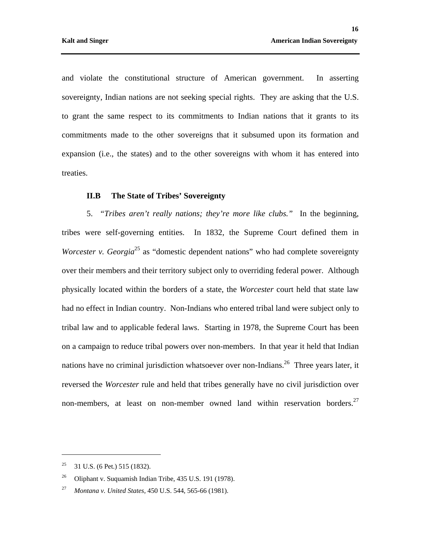and violate the constitutional structure of American government. In asserting sovereignty, Indian nations are not seeking special rights. They are asking that the U.S. to grant the same respect to its commitments to Indian nations that it grants to its commitments made to the other sovereigns that it subsumed upon its formation and expansion (i.e., the states) and to the other sovereigns with whom it has entered into treaties.

#### **II.B The State of Tribes' Sovereignty**

5. *"Tribes aren't really nations; they're more like clubs."* In the beginning, tribes were self-governing entities. In 1832, the Supreme Court defined them in *Worcester v. Georgia*<sup>25</sup> as "domestic dependent nations" who had complete sovereignty over their members and their territory subject only to overriding federal power. Although physically located within the borders of a state, the *Worcester* court held that state law had no effect in Indian country. Non-Indians who entered tribal land were subject only to tribal law and to applicable federal laws. Starting in 1978, the Supreme Court has been on a campaign to reduce tribal powers over non-members. In that year it held that Indian nations have no criminal jurisdiction whatsoever over non-Indians.<sup>26</sup> Three years later, it reversed the *Worcester* rule and held that tribes generally have no civil jurisdiction over non-members, at least on non-member owned land within reservation borders.<sup>27</sup>

<span id="page-18-0"></span><sup>&</sup>lt;sup>25</sup> 31 U.S. (6 Pet.) 515 (1832).

<span id="page-18-1"></span><sup>&</sup>lt;sup>26</sup> Oliphant v. Suquamish Indian Tribe,  $435$  U.S. 191 (1978).

<span id="page-18-2"></span><sup>27</sup> *Montana v. United States,* 450 U.S. 544, 565-66 (1981).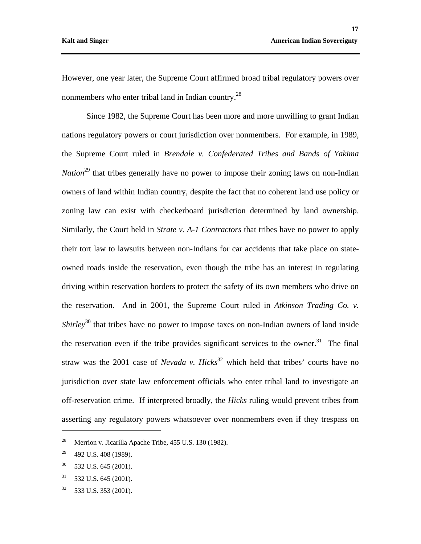However, one year later, the Supreme Court affirmed broad tribal regulatory powers over nonmembers who enter tribal land in Indian country.<sup>28</sup>

Since 1982, the Supreme Court has been more and more unwilling to grant Indian nations regulatory powers or court jurisdiction over nonmembers. For example, in 1989, the Supreme Court ruled in *Brendale v. Confederated Tribes and Bands of Yakima Nation*<sup>[29](#page-19-1)</sup> that tribes generally have no power to impose their zoning laws on non-Indian owners of land within Indian country, despite the fact that no coherent land use policy or zoning law can exist with checkerboard jurisdiction determined by land ownership. Similarly, the Court held in *Strate v. A-1 Contractors* that tribes have no power to apply their tort law to lawsuits between non-Indians for car accidents that take place on stateowned roads inside the reservation, even though the tribe has an interest in regulating driving within reservation borders to protect the safety of its own members who drive on the reservation. And in 2001, the Supreme Court ruled in *Atkinson Trading Co. v. Shirley*<sup>30</sup> that tribes have no power to impose taxes on non-Indian owners of land inside the reservation even if the tribe provides significant services to the owner.<sup>31</sup> The final straw was the 2001 case of *Nevada v. Hicks*<sup>32</sup> which held that tribes' courts have no jurisdiction over state law enforcement officials who enter tribal land to investigate an off-reservation crime. If interpreted broadly, the *Hicks* ruling would prevent tribes from asserting any regulatory powers whatsoever over nonmembers even if they trespass on

<span id="page-19-0"></span><sup>28</sup> Merrion v. Jicarilla Apache Tribe, 455 U.S. 130 (1982).

<span id="page-19-1"></span> $29$  492 U.S. 408 (1989).

<span id="page-19-2"></span> $30$  532 U.S. 645 (2001).

<span id="page-19-3"></span> $31$  532 U.S. 645 (2001).

<span id="page-19-4"></span> $32$  533 U.S. 353 (2001).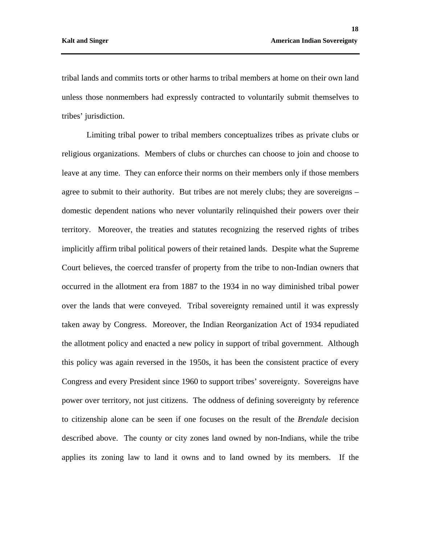tribal lands and commits torts or other harms to tribal members at home on their own land unless those nonmembers had expressly contracted to voluntarily submit themselves to tribes' jurisdiction.

Limiting tribal power to tribal members conceptualizes tribes as private clubs or religious organizations. Members of clubs or churches can choose to join and choose to leave at any time. They can enforce their norms on their members only if those members agree to submit to their authority. But tribes are not merely clubs; they are sovereigns – domestic dependent nations who never voluntarily relinquished their powers over their territory. Moreover, the treaties and statutes recognizing the reserved rights of tribes implicitly affirm tribal political powers of their retained lands. Despite what the Supreme Court believes, the coerced transfer of property from the tribe to non-Indian owners that occurred in the allotment era from 1887 to the 1934 in no way diminished tribal power over the lands that were conveyed. Tribal sovereignty remained until it was expressly taken away by Congress. Moreover, the Indian Reorganization Act of 1934 repudiated the allotment policy and enacted a new policy in support of tribal government. Although this policy was again reversed in the 1950s, it has been the consistent practice of every Congress and every President since 1960 to support tribes' sovereignty. Sovereigns have power over territory, not just citizens. The oddness of defining sovereignty by reference to citizenship alone can be seen if one focuses on the result of the *Brendale* decision described above. The county or city zones land owned by non-Indians, while the tribe applies its zoning law to land it owns and to land owned by its members. If the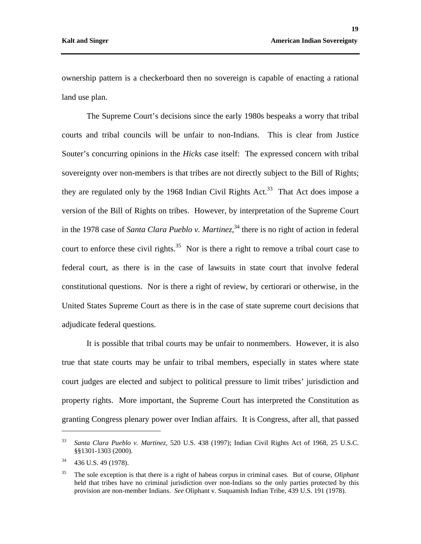ownership pattern is a checkerboard then no sovereign is capable of enacting a rational land use plan.

The Supreme Court's decisions since the early 1980s bespeaks a worry that tribal courts and tribal councils will be unfair to non-Indians. This is clear from Justice Souter's concurring opinions in the *Hicks* case itself: The expressed concern with tribal sovereignty over non-members is that tribes are not directly subject to the Bill of Rights; they are regulated only by the 1968 Indian Civil Rights Act.<sup>33</sup> That Act does impose a version of the Bill of Rights on tribes. However, by interpretation of the Supreme Court in the 1978 case of *Santa Clara Pueblo v. Martinez,*[34](#page-21-1) there is no right of action in federal court to enforce these civil rights.<sup>35</sup> Nor is there a right to remove a tribal court case to federal court, as there is in the case of lawsuits in state court that involve federal constitutional questions. Nor is there a right of review, by certiorari or otherwise, in the United States Supreme Court as there is in the case of state supreme court decisions that adjudicate federal questions.

It is possible that tribal courts may be unfair to nonmembers. However, it is also true that state courts may be unfair to tribal members, especially in states where state court judges are elected and subject to political pressure to limit tribes' jurisdiction and property rights. More important, the Supreme Court has interpreted the Constitution as granting Congress plenary power over Indian affairs. It is Congress, after all, that passed

<span id="page-21-0"></span><sup>33</sup> *Santa Clara Pueblo v. Martinez,* 520 U.S. 438 (1997); Indian Civil Rights Act of 1968, 25 U.S.C. §§1301-1303 (2000).

<span id="page-21-1"></span> $34$  436 U.S. 49 (1978).

<span id="page-21-2"></span><sup>35</sup> The sole exception is that there is a right of habeas corpus in criminal cases. But of course, *Oliphant* held that tribes have no criminal jurisdiction over non-Indians so the only parties protected by this provision are non-member Indians. *See* Oliphant v. Suquamish Indian Tribe, 439 U.S. 191 (1978).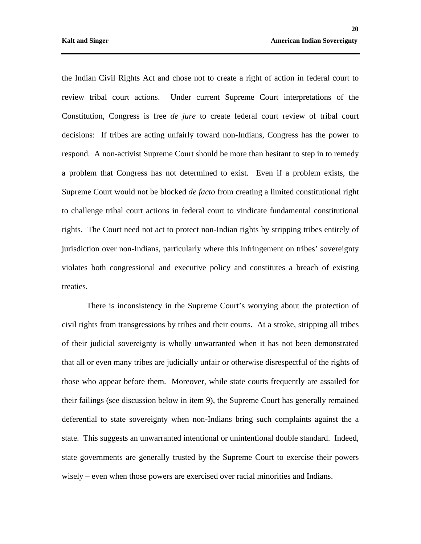the Indian Civil Rights Act and chose not to create a right of action in federal court to review tribal court actions. Under current Supreme Court interpretations of the Constitution, Congress is free *de jure* to create federal court review of tribal court decisions: If tribes are acting unfairly toward non-Indians, Congress has the power to respond. A non-activist Supreme Court should be more than hesitant to step in to remedy a problem that Congress has not determined to exist. Even if a problem exists, the Supreme Court would not be blocked *de facto* from creating a limited constitutional right to challenge tribal court actions in federal court to vindicate fundamental constitutional rights. The Court need not act to protect non-Indian rights by stripping tribes entirely of jurisdiction over non-Indians, particularly where this infringement on tribes' sovereignty violates both congressional and executive policy and constitutes a breach of existing treaties.

There is inconsistency in the Supreme Court's worrying about the protection of civil rights from transgressions by tribes and their courts. At a stroke, stripping all tribes of their judicial sovereignty is wholly unwarranted when it has not been demonstrated that all or even many tribes are judicially unfair or otherwise disrespectful of the rights of those who appear before them. Moreover, while state courts frequently are assailed for their failings (see discussion below in item 9), the Supreme Court has generally remained deferential to state sovereignty when non-Indians bring such complaints against the a state. This suggests an unwarranted intentional or unintentional double standard. Indeed, state governments are generally trusted by the Supreme Court to exercise their powers wisely – even when those powers are exercised over racial minorities and Indians.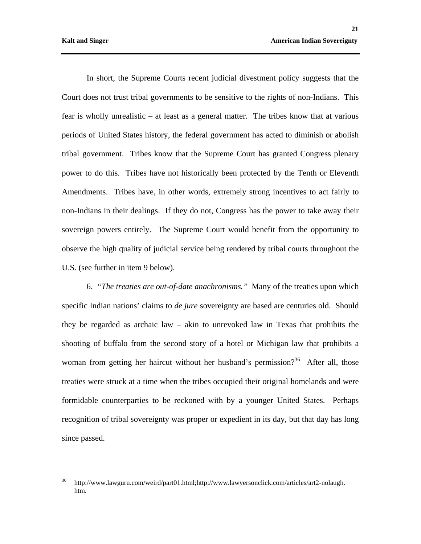In short, the Supreme Courts recent judicial divestment policy suggests that the Court does not trust tribal governments to be sensitive to the rights of non-Indians. This fear is wholly unrealistic – at least as a general matter. The tribes know that at various periods of United States history, the federal government has acted to diminish or abolish tribal government. Tribes know that the Supreme Court has granted Congress plenary power to do this. Tribes have not historically been protected by the Tenth or Eleventh Amendments. Tribes have, in other words, extremely strong incentives to act fairly to non-Indians in their dealings. If they do not, Congress has the power to take away their sovereign powers entirely. The Supreme Court would benefit from the opportunity to observe the high quality of judicial service being rendered by tribal courts throughout the U.S. (see further in item 9 below).

6. *"The treaties are out-of-date anachronisms."* Many of the treaties upon which specific Indian nations' claims to *de jure* sovereignty are based are centuries old. Should they be regarded as archaic law – akin to unrevoked law in Texas that prohibits the shooting of buffalo from the second story of a hotel or Michigan law that prohibits a woman from getting her haircut without her husband's permission?<sup>36</sup> After all, those treaties were struck at a time when the tribes occupied their original homelands and were formidable counterparties to be reckoned with by a younger United States. Perhaps recognition of tribal sovereignty was proper or expedient in its day, but that day has long since passed.

<span id="page-23-0"></span><sup>36</sup> http://www.lawguru.com/weird/part01.html;http://www.lawyersonclick.com/articles/art2-nolaugh. htm.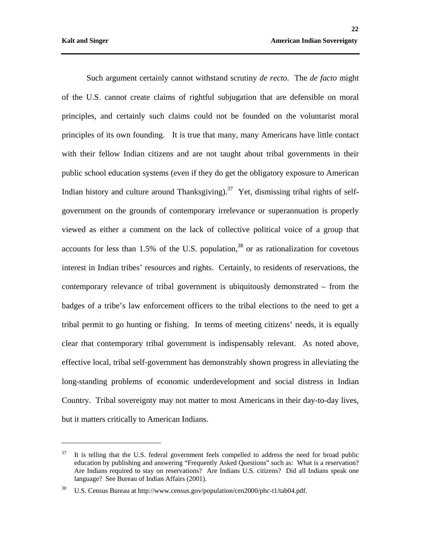Such argument certainly cannot withstand scrutiny *de recto*. The *de facto* might of the U.S. cannot create claims of rightful subjugation that are defensible on moral principles, and certainly such claims could not be founded on the voluntarist moral principles of its own founding. It is true that many, many Americans have little contact with their fellow Indian citizens and are not taught about tribal governments in their public school education systems (even if they do get the obligatory exposure to American Indian history and culture around Thanksgiving).<sup>37</sup> Yet, dismissing tribal rights of selfgovernment on the grounds of contemporary irrelevance or superannuation is properly viewed as either a comment on the lack of collective political voice of a group that accounts for less than  $1.5\%$  of the U.S. population,<sup>38</sup> or as rationalization for covetous interest in Indian tribes' resources and rights. Certainly, to residents of reservations, the contemporary relevance of tribal government is ubiquitously demonstrated – from the badges of a tribe's law enforcement officers to the tribal elections to the need to get a tribal permit to go hunting or fishing. In terms of meeting citizens' needs, it is equally clear that contemporary tribal government is indispensably relevant. As noted above, effective local, tribal self-government has demonstrably shown progress in alleviating the long-standing problems of economic underdevelopment and social distress in Indian Country. Tribal sovereignty may not matter to most Americans in their day-to-day lives, but it matters critically to American Indians.

<span id="page-24-0"></span>It is telling that the U.S. federal government feels compelled to address the need for broad public education by publishing and answering "Frequently Asked Questions" such as: What is a reservation? Are Indians required to stay on reservations? Are Indians U.S. citizens? Did all Indians speak one language? See Bureau of Indian Affairs (2001).

<span id="page-24-1"></span><sup>38</sup> U.S. Census Bureau at http://www.census.gov/population/cen2000/phc-t1/tab04.pdf.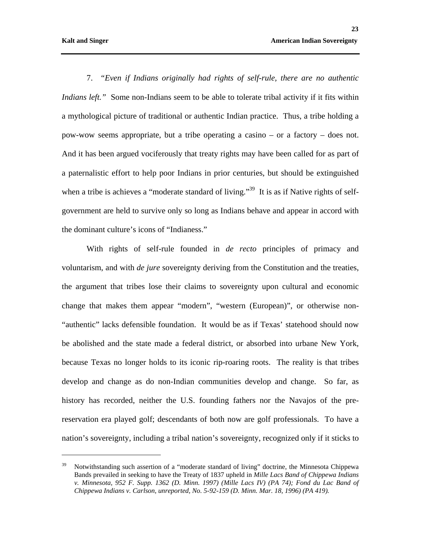7. *"Even if Indians originally had rights of self-rule, there are no authentic Indians left.*" Some non-Indians seem to be able to tolerate tribal activity if it fits within a mythological picture of traditional or authentic Indian practice. Thus, a tribe holding a pow-wow seems appropriate, but a tribe operating a casino – or a factory – does not. And it has been argued vociferously that treaty rights may have been called for as part of a paternalistic effort to help poor Indians in prior centuries, but should be extinguished when a tribe is achieves a "moderate standard of living."<sup>39</sup> It is as if Native rights of selfgovernment are held to survive only so long as Indians behave and appear in accord with the dominant culture's icons of "Indianess."

With rights of self-rule founded in *de recto* principles of primacy and voluntarism, and with *de jure* sovereignty deriving from the Constitution and the treaties, the argument that tribes lose their claims to sovereignty upon cultural and economic change that makes them appear "modern", "western (European)", or otherwise non- "authentic" lacks defensible foundation. It would be as if Texas' statehood should now be abolished and the state made a federal district, or absorbed into urbane New York, because Texas no longer holds to its iconic rip-roaring roots. The reality is that tribes develop and change as do non-Indian communities develop and change. So far, as history has recorded, neither the U.S. founding fathers nor the Navajos of the prereservation era played golf; descendants of both now are golf professionals. To have a nation's sovereignty, including a tribal nation's sovereignty, recognized only if it sticks to

<span id="page-25-0"></span><sup>&</sup>lt;sup>39</sup> Notwithstanding such assertion of a "moderate standard of living" doctrine, the Minnesota Chippewa Bands prevailed in seeking to have the Treaty of 1837 upheld in *Mille Lacs Band of Chippewa Indians v. Minnesota, 952 F. Supp. 1362 (D. Minn. 1997) (Mille Lacs IV) (PA 74); Fond du Lac Band of Chippewa Indians v. Carlson, unreported, No. 5-92-159 (D. Minn. Mar. 18, 1996) (PA 419).*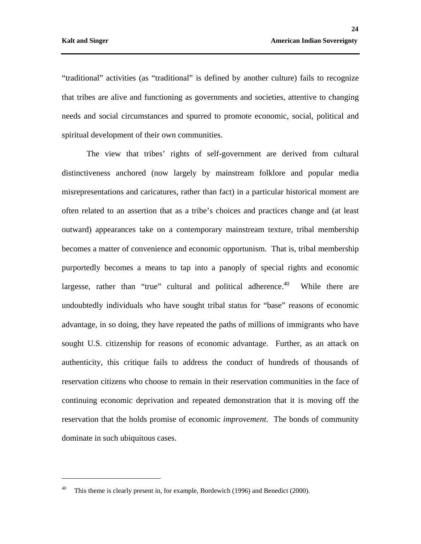<u>.</u>

**24**

"traditional" activities (as "traditional" is defined by another culture) fails to recognize that tribes are alive and functioning as governments and societies, attentive to changing needs and social circumstances and spurred to promote economic, social, political and spiritual development of their own communities.

The view that tribes' rights of self-government are derived from cultural distinctiveness anchored (now largely by mainstream folklore and popular media misrepresentations and caricatures, rather than fact) in a particular historical moment are often related to an assertion that as a tribe's choices and practices change and (at least outward) appearances take on a contemporary mainstream texture, tribal membership becomes a matter of convenience and economic opportunism. That is, tribal membership purportedly becomes a means to tap into a panoply of special rights and economic largesse, rather than "true" cultural and political adherence.<sup>40</sup> While there are undoubtedly individuals who have sought tribal status for "base" reasons of economic advantage, in so doing, they have repeated the paths of millions of immigrants who have sought U.S. citizenship for reasons of economic advantage. Further, as an attack on authenticity, this critique fails to address the conduct of hundreds of thousands of reservation citizens who choose to remain in their reservation communities in the face of continuing economic deprivation and repeated demonstration that it is moving off the reservation that the holds promise of economic *improvement*. The bonds of community dominate in such ubiquitous cases.

<span id="page-26-0"></span>This theme is clearly present in, for example, Bordewich (1996) and Benedict (2000).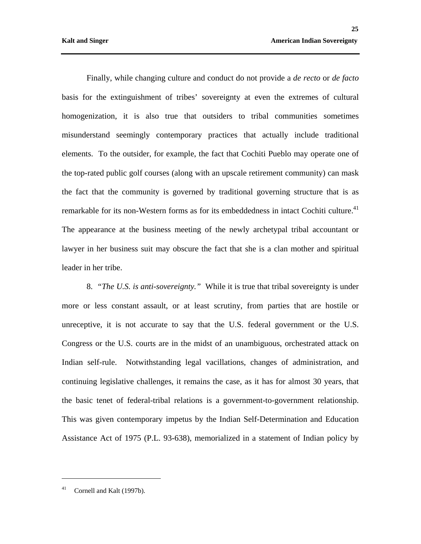Finally, while changing culture and conduct do not provide a *de recto* or *de facto*  basis for the extinguishment of tribes' sovereignty at even the extremes of cultural homogenization, it is also true that outsiders to tribal communities sometimes misunderstand seemingly contemporary practices that actually include traditional elements. To the outsider, for example, the fact that Cochiti Pueblo may operate one of the top-rated public golf courses (along with an upscale retirement community) can mask the fact that the community is governed by traditional governing structure that is as remarkable for its non-Western forms as for its embeddedness in intact Cochiti culture.<sup>41</sup> The appearance at the business meeting of the newly archetypal tribal accountant or lawyer in her business suit may obscure the fact that she is a clan mother and spiritual leader in her tribe.

8. *"The U.S. is anti-sovereignty."* While it is true that tribal sovereignty is under more or less constant assault, or at least scrutiny, from parties that are hostile or unreceptive, it is not accurate to say that the U.S. federal government or the U.S. Congress or the U.S. courts are in the midst of an unambiguous, orchestrated attack on Indian self-rule. Notwithstanding legal vacillations, changes of administration, and continuing legislative challenges, it remains the case, as it has for almost 30 years, that the basic tenet of federal-tribal relations is a government-to-government relationship. This was given contemporary impetus by the Indian Self-Determination and Education Assistance Act of 1975 (P.L. 93-638), memorialized in a statement of Indian policy by

<u>.</u>

<span id="page-27-0"></span>Cornell and Kalt (1997b).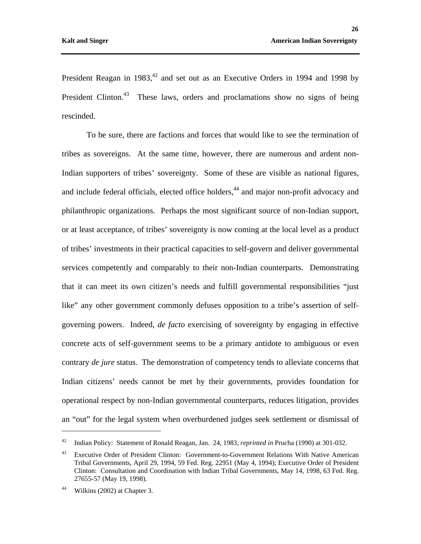President Reagan in 1983, $^{42}$  and set out as an Executive Orders in 1994 and 1998 by President Clinton.<sup>43</sup> These laws, orders and proclamations show no signs of being rescinded.

To be sure, there are factions and forces that would like to see the termination of tribes as sovereigns. At the same time, however, there are numerous and ardent non-Indian supporters of tribes' sovereignty. Some of these are visible as national figures, and include federal officials, elected office holders,  $44$  and major non-profit advocacy and philanthropic organizations. Perhaps the most significant source of non-Indian support, or at least acceptance, of tribes' sovereignty is now coming at the local level as a product of tribes' investments in their practical capacities to self-govern and deliver governmental services competently and comparably to their non-Indian counterparts. Demonstrating that it can meet its own citizen's needs and fulfill governmental responsibilities "just like" any other government commonly defuses opposition to a tribe's assertion of selfgoverning powers. Indeed, *de facto* exercising of sovereignty by engaging in effective concrete acts of self-government seems to be a primary antidote to ambiguous or even contrary *de jure* status. The demonstration of competency tends to alleviate concerns that Indian citizens' needs cannot be met by their governments, provides foundation for operational respect by non-Indian governmental counterparts, reduces litigation, provides an "out" for the legal system when overburdened judges seek settlement or dismissal of

<span id="page-28-0"></span><sup>42</sup> Indian Policy: Statement of Ronald Reagan, Jan. 24, 1983, *reprinted in* Prucha (1990) at 301-032.

<span id="page-28-1"></span><sup>&</sup>lt;sup>43</sup> Executive Order of President Clinton: Government-to-Government Relations With Native American Tribal Governments, April 29, 1994, 59 Fed. Reg. 22951 (May 4, 1994); Executive Order of President Clinton: Consultation and Coordination with Indian Tribal Governments, May 14, 1998, 63 Fed. Reg. 27655-57 (May 19, 1998).

<span id="page-28-2"></span> $44$  Wilkins (2002) at Chapter 3.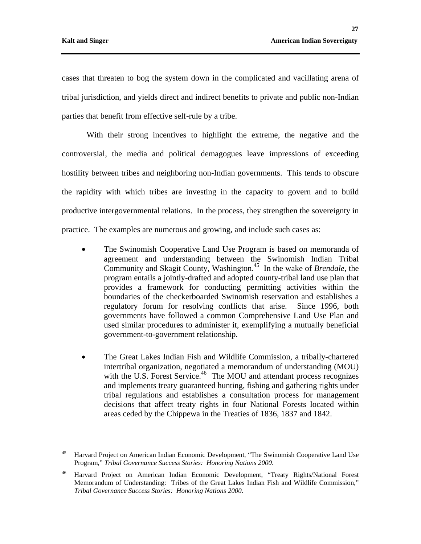cases that threaten to bog the system down in the complicated and vacillating arena of tribal jurisdiction, and yields direct and indirect benefits to private and public non-Indian parties that benefit from effective self-rule by a tribe.

With their strong incentives to highlight the extreme, the negative and the controversial, the media and political demagogues leave impressions of exceeding hostility between tribes and neighboring non-Indian governments. This tends to obscure the rapidity with which tribes are investing in the capacity to govern and to build productive intergovernmental relations. In the process, they strengthen the sovereignty in practice. The examples are numerous and growing, and include such cases as:

- The Swinomish Cooperative Land Use Program is based on memoranda of agreement and understanding between the Swinomish Indian Tribal Community and Skagit County, Washington[.45](#page-29-0) In the wake of *Brendale*, the program entails a jointly-drafted and adopted county-tribal land use plan that provides a framework for conducting permitting activities within the boundaries of the checkerboarded Swinomish reservation and establishes a regulatory forum for resolving conflicts that arise. Since 1996, both governments have followed a common Comprehensive Land Use Plan and used similar procedures to administer it, exemplifying a mutually beneficial government-to-government relationship.
- The Great Lakes Indian Fish and Wildlife Commission, a tribally-chartered intertribal organization, negotiated a memorandum of understanding (MOU) with the U.S. Forest Service.<sup>46</sup> The MOU and attendant process recognizes and implements treaty guaranteed hunting, fishing and gathering rights under tribal regulations and establishes a consultation process for management decisions that affect treaty rights in four National Forests located within areas ceded by the Chippewa in the Treaties of 1836, 1837 and 1842.

<span id="page-29-0"></span><sup>45</sup> Harvard Project on American Indian Economic Development, "The Swinomish Cooperative Land Use Program," *Tribal Governance Success Stories: Honoring Nations 2000*.

<span id="page-29-1"></span><sup>46</sup> Harvard Project on American Indian Economic Development, "Treaty Rights/National Forest Memorandum of Understanding: Tribes of the Great Lakes Indian Fish and Wildlife Commission," *Tribal Governance Success Stories: Honoring Nations 2000*.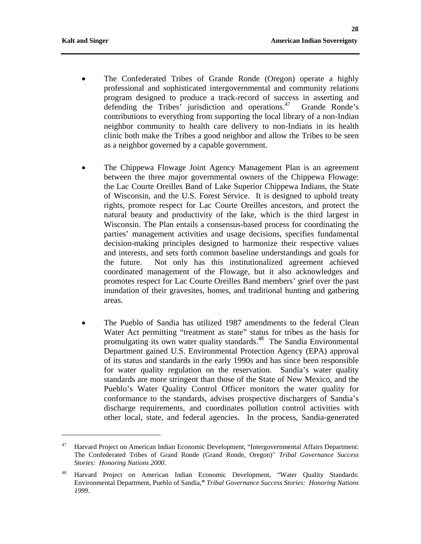- The Confederated Tribes of Grande Ronde (Oregon) operate a highly professional and sophisticated intergovernmental and community relations program designed to produce a track-record of success in asserting and defending the Tribes' jurisdiction and operations[.47](#page-30-0) Grande Ronde's contributions to everything from supporting the local library of a non-Indian neighbor community to health care delivery to non-Indians in its health clinic both make the Tribes a good neighbor and allow the Tribes to be seen as a neighbor governed by a capable government.
- The Chippewa Flowage Joint Agency Management Plan is an agreement between the three major governmental owners of the Chippewa Flowage: the Lac Courte Oreilles Band of Lake Superior Chippewa Indians, the State of Wisconsin, and the U.S. Forest Service. It is designed to uphold treaty rights, promote respect for Lac Courte Oreilles ancestors, and protect the natural beauty and productivity of the lake, which is the third largest in Wisconsin. The Plan entails a consensus-based process for coordinating the parties' management activities and usage decisions, specifies fundamental decision-making principles designed to harmonize their respective values and interests, and sets forth common baseline understandings and goals for the future. Not only has this institutionalized agreement achieved coordinated management of the Flowage, but it also acknowledges and promotes respect for Lac Courte Oreilles Band members' grief over the past inundation of their gravesites, homes, and traditional hunting and gathering areas.
- The Pueblo of Sandia has utilized 1987 amendments to the federal Clean Water Act permitting "treatment as state" status for tribes as the basis for promulgating its own water quality standards.<sup>48</sup> The Sandia Environmental Department gained U.S. Environmental Protection Agency (EPA) approval of its status and standards in the early 1990s and has since been responsible for water quality regulation on the reservation. Sandia's water quality standards are more stringent than those of the State of New Mexico, and the Pueblo's Water Quality Control Officer monitors the water quality for conformance to the standards, advises prospective dischargers of Sandia's discharge requirements, and coordinates pollution control activities with other local, state, and federal agencies. In the process, Sandia-generated

<span id="page-30-0"></span><sup>47</sup> Harvard Project on American Indian Economic Development, "Intergovernmental Affairs Department: The Confederated Tribes of Grand Ronde (Grand Ronde, Oregon)" *Tribal Governance Success Stories: Honoring Nations 2000*.

<span id="page-30-1"></span><sup>48</sup> Harvard Project on American Indian Economic Development, "Water Quality Standards: Environmental Department, Pueblo of Sandia,**"** *Tribal Governance Success Stories: Honoring Nations 1999*.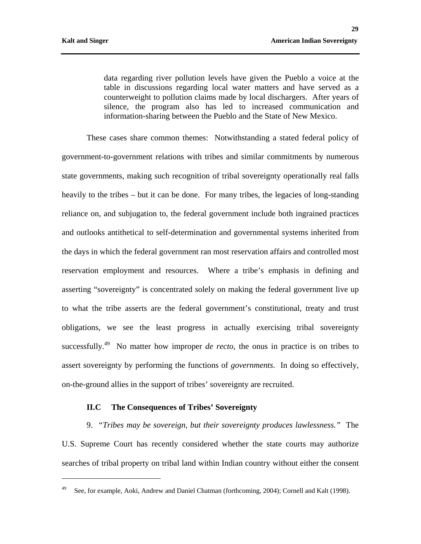<u>.</u>

data regarding river pollution levels have given the Pueblo a voice at the table in discussions regarding local water matters and have served as a counterweight to pollution claims made by local dischargers. After years of silence, the program also has led to increased communication and information-sharing between the Pueblo and the State of New Mexico.

These cases share common themes: Notwithstanding a stated federal policy of government-to-government relations with tribes and similar commitments by numerous state governments, making such recognition of tribal sovereignty operationally real falls heavily to the tribes – but it can be done. For many tribes, the legacies of long-standing reliance on, and subjugation to, the federal government include both ingrained practices and outlooks antithetical to self-determination and governmental systems inherited from the days in which the federal government ran most reservation affairs and controlled most reservation employment and resources. Where a tribe's emphasis in defining and asserting "sovereignty" is concentrated solely on making the federal government live up to what the tribe asserts are the federal government's constitutional, treaty and trust obligations, we see the least progress in actually exercising tribal sovereignty successfully.<sup>49</sup> No matter how improper *de recto*, the onus in practice is on tribes to assert sovereignty by performing the functions of *governments*. In doing so effectively, on-the-ground allies in the support of tribes' sovereignty are recruited.

#### **II.C The Consequences of Tribes' Sovereignty**

9. *"Tribes may be sovereign, but their sovereignty produces lawlessness."* The U.S. Supreme Court has recently considered whether the state courts may authorize searches of tribal property on tribal land within Indian country without either the consent

<span id="page-31-0"></span>See, for example, Aoki, Andrew and Daniel Chatman (forthcoming, 2004); Cornell and Kalt (1998).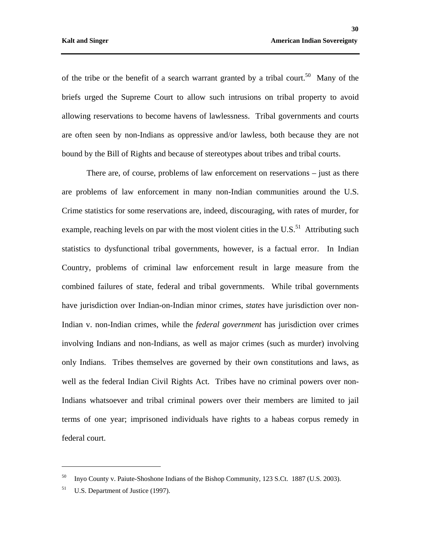of the tribe or the benefit of a search warrant granted by a tribal court.<sup>50</sup> Many of the briefs urged the Supreme Court to allow such intrusions on tribal property to avoid allowing reservations to become havens of lawlessness. Tribal governments and courts are often seen by non-Indians as oppressive and/or lawless, both because they are not bound by the Bill of Rights and because of stereotypes about tribes and tribal courts.

There are, of course, problems of law enforcement on reservations – just as there are problems of law enforcement in many non-Indian communities around the U.S. Crime statistics for some reservations are, indeed, discouraging, with rates of murder, for example, reaching levels on par with the most violent cities in the U.S. $^{51}$  Attributing such statistics to dysfunctional tribal governments, however, is a factual error. In Indian Country, problems of criminal law enforcement result in large measure from the combined failures of state, federal and tribal governments. While tribal governments have jurisdiction over Indian-on-Indian minor crimes, *states* have jurisdiction over non-Indian v. non-Indian crimes, while the *federal government* has jurisdiction over crimes involving Indians and non-Indians, as well as major crimes (such as murder) involving only Indians. Tribes themselves are governed by their own constitutions and laws, as well as the federal Indian Civil Rights Act. Tribes have no criminal powers over non-Indians whatsoever and tribal criminal powers over their members are limited to jail terms of one year; imprisoned individuals have rights to a habeas corpus remedy in federal court.

<span id="page-32-0"></span><sup>&</sup>lt;sup>50</sup> Inyo County v. Paiute-Shoshone Indians of the Bishop Community, 123 S.Ct. 1887 (U.S. 2003).

<span id="page-32-1"></span><sup>&</sup>lt;sup>51</sup> U.S. Department of Justice (1997).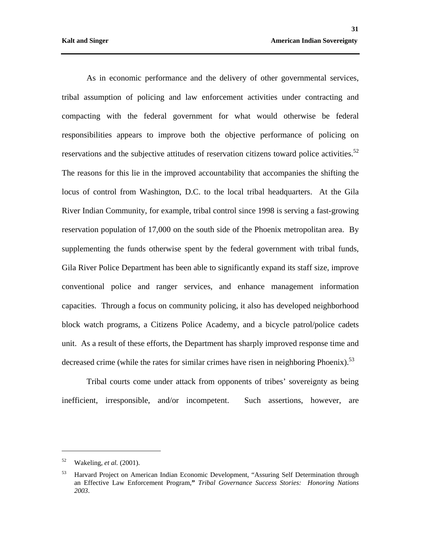As in economic performance and the delivery of other governmental services, tribal assumption of policing and law enforcement activities under contracting and compacting with the federal government for what would otherwise be federal responsibilities appears to improve both the objective performance of policing on reservations and the subjective attitudes of reservation citizens toward police activities.<sup>52</sup> The reasons for this lie in the improved accountability that accompanies the shifting the locus of control from Washington, D.C. to the local tribal headquarters. At the Gila River Indian Community, for example, tribal control since 1998 is serving a fast-growing reservation population of 17,000 on the south side of the Phoenix metropolitan area. By supplementing the funds otherwise spent by the federal government with tribal funds, Gila River Police Department has been able to significantly expand its staff size, improve conventional police and ranger services, and enhance management information capacities. Through a focus on community policing, it also has developed neighborhood block watch programs, a Citizens Police Academy, and a bicycle patrol/police cadets unit. As a result of these efforts, the Department has sharply improved response time and decreased crime (while the rates for similar crimes have risen in neighboring Phoenix).<sup>53</sup>

Tribal courts come under attack from opponents of tribes' sovereignty as being inefficient, irresponsible, and/or incompetent. Such assertions, however, are

<span id="page-33-0"></span><sup>52</sup> Wakeling, *et al.* (2001).

<span id="page-33-1"></span><sup>&</sup>lt;sup>53</sup> Harvard Project on American Indian Economic Development, "Assuring Self Determination through an Effective Law Enforcement Program,**"** *Tribal Governance Success Stories: Honoring Nations 2003*.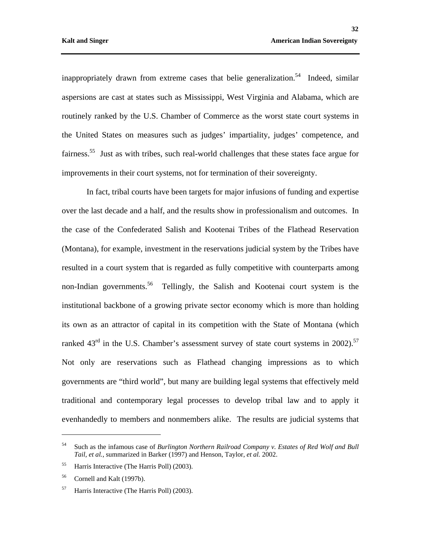inappropriately drawn from extreme cases that belie generalization.<sup>54</sup> Indeed, similar aspersions are cast at states such as Mississippi, West Virginia and Alabama, which are routinely ranked by the U.S. Chamber of Commerce as the worst state court systems in the United States on measures such as judges' impartiality, judges' competence, and fairness.<sup>55</sup> Just as with tribes, such real-world challenges that these states face argue for improvements in their court systems, not for termination of their sovereignty.

In fact, tribal courts have been targets for major infusions of funding and expertise over the last decade and a half, and the results show in professionalism and outcomes. In the case of the Confederated Salish and Kootenai Tribes of the Flathead Reservation (Montana), for example, investment in the reservations judicial system by the Tribes have resulted in a court system that is regarded as fully competitive with counterparts among non-Indian governments.<sup>56</sup> Tellingly, the Salish and Kootenai court system is the institutional backbone of a growing private sector economy which is more than holding its own as an attractor of capital in its competition with the State of Montana (which ranked  $43<sup>rd</sup>$  in the U.S. Chamber's assessment survey of state court systems in 2002).<sup>57</sup> Not only are reservations such as Flathead changing impressions as to which governments are "third world", but many are building legal systems that effectively meld traditional and contemporary legal processes to develop tribal law and to apply it evenhandedly to members and nonmembers alike. The results are judicial systems that

<span id="page-34-0"></span><sup>54</sup> Such as the infamous case of *Burlington Northern Railroad Company v. Estates of Red Wolf and Bull Tail, et al.*, summarized in Barker (1997) and Henson, Taylor, *et al.* 2002.

<span id="page-34-1"></span><sup>55</sup> Harris Interactive (The Harris Poll) (2003).

<span id="page-34-2"></span><sup>56</sup> Cornell and Kalt (1997b).

<span id="page-34-3"></span><sup>57</sup> Harris Interactive (The Harris Poll) (2003).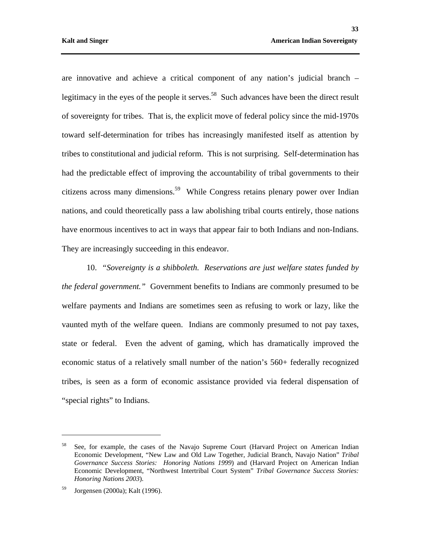are innovative and achieve a critical component of any nation's judicial branch – legitimacy in the eyes of the people it serves.<sup>58</sup> Such advances have been the direct result of sovereignty for tribes. That is, the explicit move of federal policy since the mid-1970s toward self-determination for tribes has increasingly manifested itself as attention by tribes to constitutional and judicial reform. This is not surprising. Self-determination has had the predictable effect of improving the accountability of tribal governments to their citizens across many dimensions.<sup>59</sup> While Congress retains plenary power over Indian nations, and could theoretically pass a law abolishing tribal courts entirely, those nations have enormous incentives to act in ways that appear fair to both Indians and non-Indians. They are increasingly succeeding in this endeavor.

10. *"Sovereignty is a shibboleth. Reservations are just welfare states funded by the federal government."* Government benefits to Indians are commonly presumed to be welfare payments and Indians are sometimes seen as refusing to work or lazy, like the vaunted myth of the welfare queen. Indians are commonly presumed to not pay taxes, state or federal. Even the advent of gaming, which has dramatically improved the economic status of a relatively small number of the nation's 560+ federally recognized tribes, is seen as a form of economic assistance provided via federal dispensation of "special rights" to Indians.

<span id="page-35-0"></span><sup>&</sup>lt;sup>58</sup> See, for example, the cases of the Navajo Supreme Court (Harvard Project on American Indian Economic Development, "New Law and Old Law Together, Judicial Branch, Navajo Nation" *Tribal Governance Success Stories: Honoring Nations 1999*) and (Harvard Project on American Indian Economic Development, "Northwest Intertribal Court System" *Tribal Governance Success Stories: Honoring Nations 2003*).

<span id="page-35-1"></span><sup>59</sup> Jorgensen (2000a); Kalt (1996).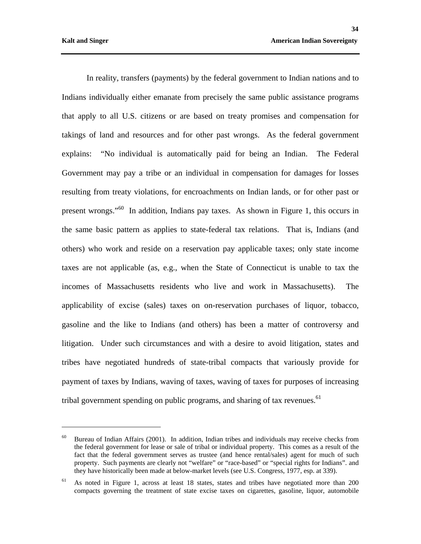<u>.</u>

In reality, transfers (payments) by the federal government to Indian nations and to Indians individually either emanate from precisely the same public assistance programs that apply to all U.S. citizens or are based on treaty promises and compensation for takings of land and resources and for other past wrongs. As the federal government explains: "No individual is automatically paid for being an Indian. The Federal Government may pay a tribe or an individual in compensation for damages for losses resulting from treaty violations, for encroachments on Indian lands, or for other past or present wrongs.["60](#page-36-0) In addition, Indians pay taxes. As shown in Figure 1, this occurs in the same basic pattern as applies to state-federal tax relations. That is, Indians (and others) who work and reside on a reservation pay applicable taxes; only state income taxes are not applicable (as, e.g., when the State of Connecticut is unable to tax the incomes of Massachusetts residents who live and work in Massachusetts). The applicability of excise (sales) taxes on on-reservation purchases of liquor, tobacco, gasoline and the like to Indians (and others) has been a matter of controversy and litigation. Under such circumstances and with a desire to avoid litigation, states and tribes have negotiated hundreds of state-tribal compacts that variously provide for payment of taxes by Indians, waving of taxes, waving of taxes for purposes of increasing tribal government spending on public programs, and sharing of tax revenues.<sup>61</sup>

<span id="page-36-0"></span> $60$  Bureau of Indian Affairs (2001). In addition, Indian tribes and individuals may receive checks from the federal government for lease or sale of tribal or individual property. This comes as a result of the fact that the federal government serves as trustee (and hence rental/sales) agent for much of such property. Such payments are clearly not "welfare" or "race-based" or "special rights for Indians". and they have historically been made at below-market levels (see U.S. Congress, 1977, esp. at 339).

<span id="page-36-1"></span><sup>&</sup>lt;sup>61</sup> As noted in Figure 1, across at least 18 states, states and tribes have negotiated more than 200 compacts governing the treatment of state excise taxes on cigarettes, gasoline, liquor, automobile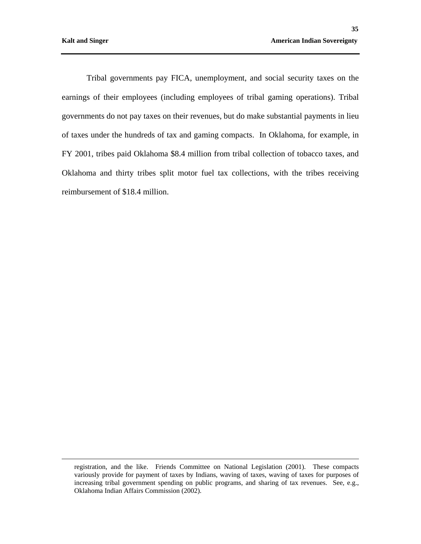Tribal governments pay FICA, unemployment, and social security taxes on the earnings of their employees (including employees of tribal gaming operations). Tribal governments do not pay taxes on their revenues, but do make substantial payments in lieu of taxes under the hundreds of tax and gaming compacts. In Oklahoma, for example, in FY 2001, tribes paid Oklahoma \$8.4 million from tribal collection of tobacco taxes, and Oklahoma and thirty tribes split motor fuel tax collections, with the tribes receiving reimbursement of \$18.4 million.

registration, and the like. Friends Committee on National Legislation (2001). These compacts variously provide for payment of taxes by Indians, waving of taxes, waving of taxes for purposes of increasing tribal government spending on public programs, and sharing of tax revenues. See, e.g., Oklahoma Indian Affairs Commission (2002).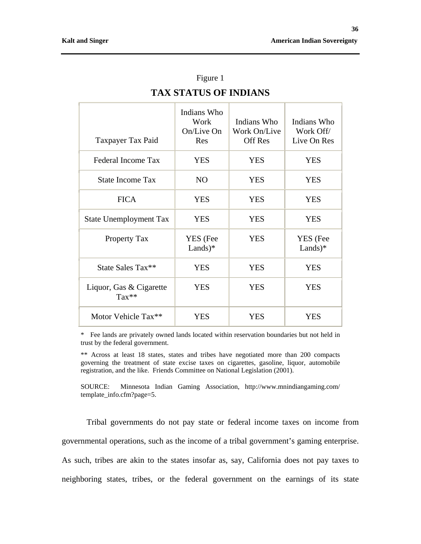| Taxpayer Tax Paid                          | Indians Who<br>Work<br>On/Live On<br>Res | Indians Who<br>Work On/Live<br>Off Res | Indians Who<br>Work Off/<br>Live On Res |  |
|--------------------------------------------|------------------------------------------|----------------------------------------|-----------------------------------------|--|
| Federal Income Tax                         | <b>YES</b>                               | <b>YES</b>                             | <b>YES</b>                              |  |
| State Income Tax                           | N <sub>O</sub>                           | <b>YES</b>                             | <b>YES</b>                              |  |
| <b>FICA</b>                                | <b>YES</b>                               | <b>YES</b>                             | <b>YES</b>                              |  |
| <b>State Unemployment Tax</b>              | <b>YES</b>                               | <b>YES</b>                             | <b>YES</b>                              |  |
| <b>Property Tax</b>                        | YES (Fee<br>Lands $)*$                   | <b>YES</b>                             | YES (Fee<br>Lands $)*$                  |  |
| State Sales Tax**                          | <b>YES</b>                               | <b>YES</b>                             | <b>YES</b>                              |  |
| Liquor, Gas & Cigarette<br>$\text{Tax}$ ** | <b>YES</b>                               | <b>YES</b>                             | <b>YES</b>                              |  |
| Motor Vehicle Tax**                        | <b>YES</b>                               | <b>YES</b>                             | <b>YES</b>                              |  |

## Figure 1 **TAX STATUS OF INDIANS**

\* Fee lands are privately owned lands located within reservation boundaries but not held in trust by the federal government.

\*\* Across at least 18 states, states and tribes have negotiated more than 200 compacts governing the treatment of state excise taxes on cigarettes, gasoline, liquor, automobile registration, and the like. Friends Committee on National Legislation (2001).

SOURCE: Minnesota Indian Gaming Association, http://www.mnindiangaming.com/ template\_info.cfm?page=5.

Tribal governments do not pay state or federal income taxes on income from governmental operations, such as the income of a tribal government's gaming enterprise. As such, tribes are akin to the states insofar as, say, California does not pay taxes to neighboring states, tribes, or the federal government on the earnings of its state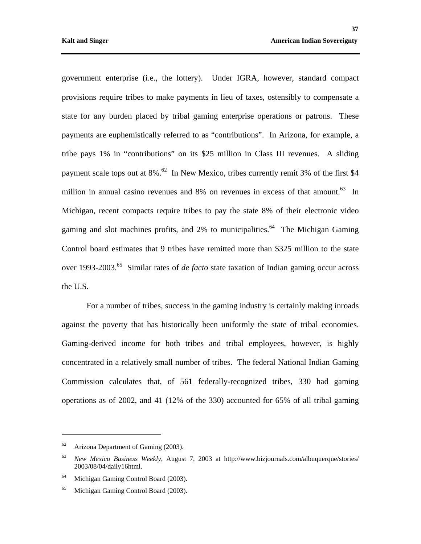government enterprise (i.e., the lottery). Under IGRA, however, standard compact provisions require tribes to make payments in lieu of taxes, ostensibly to compensate a state for any burden placed by tribal gaming enterprise operations or patrons. These payments are euphemistically referred to as "contributions". In Arizona, for example, a tribe pays 1% in "contributions" on its \$25 million in Class III revenues. A sliding payment scale tops out at  $8\%$ .<sup>62</sup> In New Mexico, tribes currently remit 3% of the first \$4 million in annual casino revenues and 8% on revenues in excess of that amount.<sup>63</sup> In Michigan, recent compacts require tribes to pay the state 8% of their electronic video gaming and slot machines profits, and  $2\%$  to municipalities.<sup>64</sup> The Michigan Gaming Control board estimates that 9 tribes have remitted more than \$325 million to the state over 1993-2003.<sup>65</sup> Similar rates of *de facto* state taxation of Indian gaming occur across the U.S.

For a number of tribes, success in the gaming industry is certainly making inroads against the poverty that has historically been uniformly the state of tribal economies. Gaming-derived income for both tribes and tribal employees, however, is highly concentrated in a relatively small number of tribes. The federal National Indian Gaming Commission calculates that, of 561 federally-recognized tribes, 330 had gaming operations as of 2002, and 41 (12% of the 330) accounted for 65% of all tribal gaming

<span id="page-39-0"></span> $62$  Arizona Department of Gaming (2003).

<span id="page-39-1"></span><sup>63</sup> *New Mexico Business Weekly*, August 7, 2003 at http://www.bizjournals.com/albuquerque/stories/ 2003/08/04/daily16html.

<span id="page-39-2"></span><sup>&</sup>lt;sup>64</sup> Michigan Gaming Control Board (2003).

<span id="page-39-3"></span><sup>65</sup> Michigan Gaming Control Board (2003).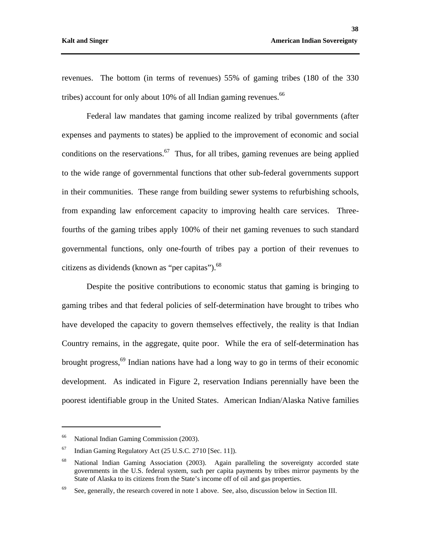revenues. The bottom (in terms of revenues) 55% of gaming tribes (180 of the 330 tribes) account for only about  $10\%$  of all Indian gaming revenues.<sup>66</sup>

Federal law mandates that gaming income realized by tribal governments (after expenses and payments to states) be applied to the improvement of economic and social conditions on the reservations.<sup>67</sup> Thus, for all tribes, gaming revenues are being applied to the wide range of governmental functions that other sub-federal governments support in their communities. These range from building sewer systems to refurbishing schools, from expanding law enforcement capacity to improving health care services. Threefourths of the gaming tribes apply 100% of their net gaming revenues to such standard governmental functions, only one-fourth of tribes pay a portion of their revenues to citizens as dividends (known as "per capitas"). $<sup>68</sup>$ </sup>

Despite the positive contributions to economic status that gaming is bringing to gaming tribes and that federal policies of self-determination have brought to tribes who have developed the capacity to govern themselves effectively, the reality is that Indian Country remains, in the aggregate, quite poor. While the era of self-determination has brought progress,<sup>69</sup> Indian nations have had a long way to go in terms of their economic development. As indicated in Figure 2, reservation Indians perennially have been the poorest identifiable group in the United States. American Indian/Alaska Native families

<span id="page-40-0"></span><sup>66</sup> National Indian Gaming Commission (2003).

<span id="page-40-1"></span> $67$  Indian Gaming Regulatory Act (25 U.S.C. 2710 [Sec. 11]).

<span id="page-40-2"></span><sup>&</sup>lt;sup>68</sup> National Indian Gaming Association (2003). Again paralleling the sovereignty accorded state governments in the U.S. federal system, such per capita payments by tribes mirror payments by the State of Alaska to its citizens from the State's income off of oil and gas properties.

<span id="page-40-3"></span> $69$  See, generally, the research covered in note 1 above. See, also, discussion below in Section III.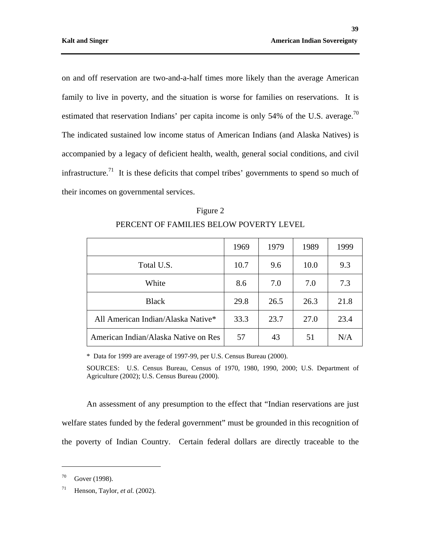on and off reservation are two-and-a-half times more likely than the average American family to live in poverty, and the situation is worse for families on reservations. It is estimated that reservation Indians' per capita income is only 54% of the U.S. average.<sup>70</sup> The indicated sustained low income status of American Indians (and Alaska Natives) is accompanied by a legacy of deficient health, wealth, general social conditions, and civil infrastructure.<sup>71</sup> It is these deficits that compel tribes' governments to spend so much of their incomes on governmental services.

| Figure 2                                |
|-----------------------------------------|
| PERCENT OF FAMILIES BELOW POVERTY LEVEL |

|                                      | 1969 | 1979 | 1989 | 1999 |
|--------------------------------------|------|------|------|------|
| Total U.S.                           | 10.7 | 9.6  | 10.0 | 9.3  |
| White                                | 8.6  | 7.0  | 7.0  | 7.3  |
| <b>Black</b>                         | 29.8 | 26.5 | 26.3 | 21.8 |
| All American Indian/Alaska Native*   | 33.3 | 23.7 | 27.0 | 23.4 |
| American Indian/Alaska Native on Res | 57   | 43   | 51   | N/A  |

\* Data for 1999 are average of 1997-99, per U.S. Census Bureau (2000).

SOURCES: U.S. Census Bureau, Census of 1970, 1980, 1990, 2000; U.S. Department of Agriculture (2002); U.S. Census Bureau (2000).

An assessment of any presumption to the effect that "Indian reservations are just welfare states funded by the federal government" must be grounded in this recognition of the poverty of Indian Country. Certain federal dollars are directly traceable to the

<span id="page-41-0"></span> $70$  Gover (1998).

<span id="page-41-1"></span><sup>&</sup>lt;sup>71</sup> Henson, Taylor, *et al.* (2002).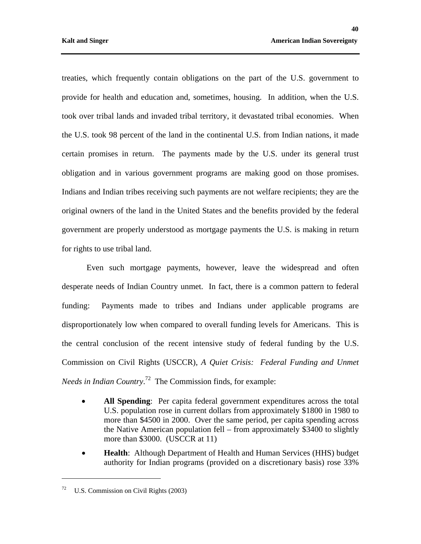treaties, which frequently contain obligations on the part of the U.S. government to provide for health and education and, sometimes, housing. In addition, when the U.S. took over tribal lands and invaded tribal territory, it devastated tribal economies. When the U.S. took 98 percent of the land in the continental U.S. from Indian nations, it made certain promises in return. The payments made by the U.S. under its general trust obligation and in various government programs are making good on those promises. Indians and Indian tribes receiving such payments are not welfare recipients; they are the original owners of the land in the United States and the benefits provided by the federal government are properly understood as mortgage payments the U.S. is making in return for rights to use tribal land.

Even such mortgage payments, however, leave the widespread and often desperate needs of Indian Country unmet. In fact, there is a common pattern to federal funding: Payments made to tribes and Indians under applicable programs are disproportionately low when compared to overall funding levels for Americans. This is the central conclusion of the recent intensive study of federal funding by the U.S. Commission on Civil Rights (USCCR), *A Quiet Crisis: Federal Funding and Unmet Needs in Indian Country*. [72](#page-42-0) The Commission finds, for example:

- **All Spending**: Per capita federal government expenditures across the total U.S. population rose in current dollars from approximately \$1800 in 1980 to more than \$4500 in 2000. Over the same period, per capita spending across the Native American population fell – from approximately \$3400 to slightly more than \$3000. (USCCR at 11)
- **Health**: Although Department of Health and Human Services (HHS) budget authority for Indian programs (provided on a discretionary basis) rose 33%

<span id="page-42-0"></span> $72$  U.S. Commission on Civil Rights (2003)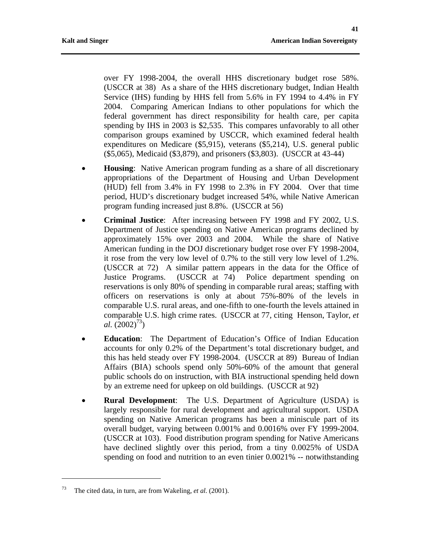over FY 1998-2004, the overall HHS discretionary budget rose 58%. (USCCR at 38) As a share of the HHS discretionary budget, Indian Health Service (IHS) funding by HHS fell from 5.6% in FY 1994 to 4.4% in FY 2004. Comparing American Indians to other populations for which the federal government has direct responsibility for health care, per capita spending by IHS in 2003 is \$2,535. This compares unfavorably to all other comparison groups examined by USCCR, which examined federal health expenditures on Medicare (\$5,915), veterans (\$5,214), U.S. general public (\$5,065), Medicaid (\$3,879), and prisoners (\$3,803). (USCCR at 43-44)

- **Housing:** Native American program funding as a share of all discretionary appropriations of the Department of Housing and Urban Development (HUD) fell from 3.4% in FY 1998 to 2.3% in FY 2004. Over that time period, HUD's discretionary budget increased 54%, while Native American program funding increased just 8.8%. (USCCR at 56)
- **Criminal Justice**: After increasing between FY 1998 and FY 2002, U.S. Department of Justice spending on Native American programs declined by approximately 15% over 2003 and 2004. While the share of Native American funding in the DOJ discretionary budget rose over FY 1998-2004, it rose from the very low level of 0.7% to the still very low level of 1.2%. (USCCR at 72) A similar pattern appears in the data for the Office of Justice Programs. (USCCR at 74) Police department spending on reservations is only 80% of spending in comparable rural areas; staffing with officers on reservations is only at about 75%-80% of the levels in comparable U.S. rural areas, and one-fifth to one-fourth the levels attained in comparable U.S. high crime rates. (USCCR at 77, citing Henson, Taylor, *et al.*  $(2002)^{73}$
- **Education**: The Department of Education's Office of Indian Education accounts for only 0.2% of the Department's total discretionary budget, and this has held steady over FY 1998-2004. (USCCR at 89) Bureau of Indian Affairs (BIA) schools spend only 50%-60% of the amount that general public schools do on instruction, with BIA instructional spending held down by an extreme need for upkeep on old buildings. (USCCR at 92)
- **Rural Development**: The U.S. Department of Agriculture (USDA) is largely responsible for rural development and agricultural support. USDA spending on Native American programs has been a miniscule part of its overall budget, varying between 0.001% and 0.0016% over FY 1999-2004. (USCCR at 103). Food distribution program spending for Native Americans have declined slightly over this period, from a tiny 0.0025% of USDA spending on food and nutrition to an even tinier 0.0021% -- notwithstanding

<span id="page-43-0"></span>The cited data, in turn, are from Wakeling, *et al.* (2001).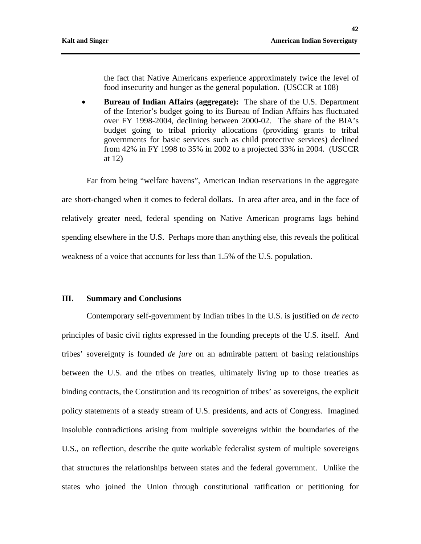the fact that Native Americans experience approximately twice the level of food insecurity and hunger as the general population. (USCCR at 108)

• **Bureau of Indian Affairs (aggregate):** The share of the U.S. Department of the Interior's budget going to its Bureau of Indian Affairs has fluctuated over FY 1998-2004, declining between 2000-02. The share of the BIA's budget going to tribal priority allocations (providing grants to tribal governments for basic services such as child protective services) declined from 42% in FY 1998 to 35% in 2002 to a projected 33% in 2004. (USCCR at 12)

Far from being "welfare havens", American Indian reservations in the aggregate are short-changed when it comes to federal dollars. In area after area, and in the face of relatively greater need, federal spending on Native American programs lags behind spending elsewhere in the U.S. Perhaps more than anything else, this reveals the political weakness of a voice that accounts for less than 1.5% of the U.S. population.

### **III. Summary and Conclusions**

Contemporary self-government by Indian tribes in the U.S. is justified on *de recto*  principles of basic civil rights expressed in the founding precepts of the U.S. itself. And tribes' sovereignty is founded *de jure* on an admirable pattern of basing relationships between the U.S. and the tribes on treaties, ultimately living up to those treaties as binding contracts, the Constitution and its recognition of tribes' as sovereigns, the explicit policy statements of a steady stream of U.S. presidents, and acts of Congress. Imagined insoluble contradictions arising from multiple sovereigns within the boundaries of the U.S., on reflection, describe the quite workable federalist system of multiple sovereigns that structures the relationships between states and the federal government. Unlike the states who joined the Union through constitutional ratification or petitioning for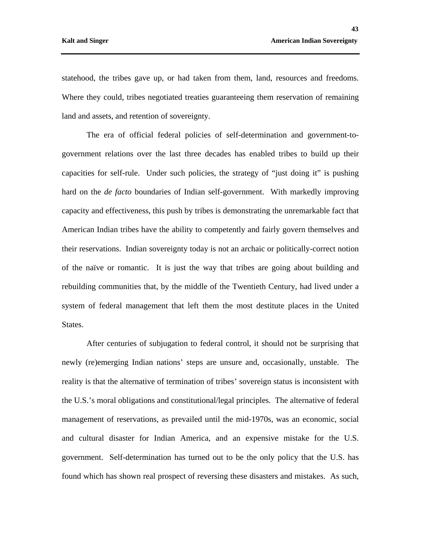statehood, the tribes gave up, or had taken from them, land, resources and freedoms. Where they could, tribes negotiated treaties guaranteeing them reservation of remaining land and assets, and retention of sovereignty.

The era of official federal policies of self-determination and government-togovernment relations over the last three decades has enabled tribes to build up their capacities for self-rule. Under such policies, the strategy of "just doing it" is pushing hard on the *de facto* boundaries of Indian self-government. With markedly improving capacity and effectiveness, this push by tribes is demonstrating the unremarkable fact that American Indian tribes have the ability to competently and fairly govern themselves and their reservations. Indian sovereignty today is not an archaic or politically-correct notion of the naïve or romantic. It is just the way that tribes are going about building and rebuilding communities that, by the middle of the Twentieth Century, had lived under a system of federal management that left them the most destitute places in the United States.

After centuries of subjugation to federal control, it should not be surprising that newly (re)emerging Indian nations' steps are unsure and, occasionally, unstable. The reality is that the alternative of termination of tribes' sovereign status is inconsistent with the U.S.'s moral obligations and constitutional/legal principles. The alternative of federal management of reservations, as prevailed until the mid-1970s, was an economic, social and cultural disaster for Indian America, and an expensive mistake for the U.S. government. Self-determination has turned out to be the only policy that the U.S. has found which has shown real prospect of reversing these disasters and mistakes. As such,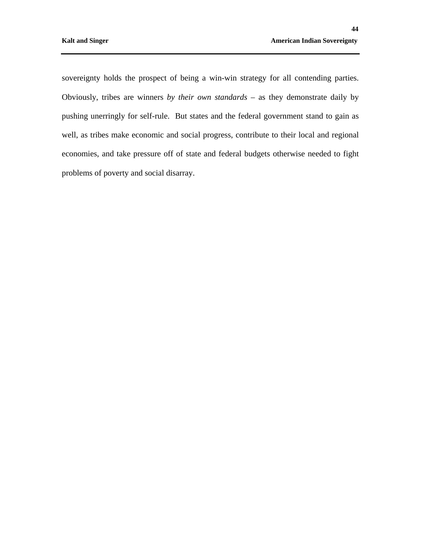sovereignty holds the prospect of being a win-win strategy for all contending parties. Obviously, tribes are winners *by their own standards* – as they demonstrate daily by pushing unerringly for self-rule. But states and the federal government stand to gain as well, as tribes make economic and social progress, contribute to their local and regional economies, and take pressure off of state and federal budgets otherwise needed to fight problems of poverty and social disarray.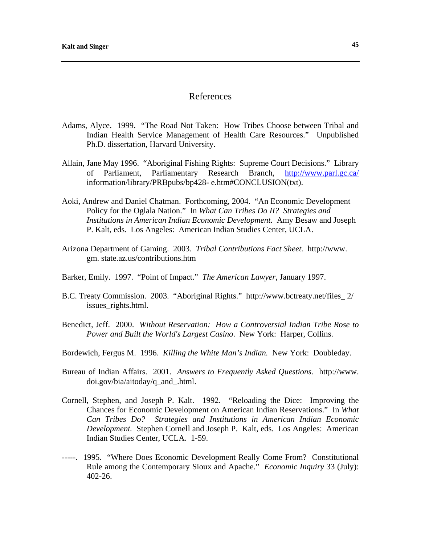### References

- Adams, Alyce. 1999. "The Road Not Taken: How Tribes Choose between Tribal and Indian Health Service Management of Health Care Resources." Unpublished Ph.D. dissertation, Harvard University.
- Allain, Jane May 1996. "Aboriginal Fishing Rights: Supreme Court Decisions." Library of Parliament, Parliamentary Research Branch, [http://www.parl.gc.ca/](http://www.parl. gc.ca/) information/library/PRBpubs/bp428- e.htm#CONCLUSION(txt).
- Aoki, Andrew and Daniel Chatman. Forthcoming, 2004. "An Economic Development Policy for the Oglala Nation." In *What Can Tribes Do II? Strategies and Institutions in American Indian Economic Development.* Amy Besaw and Joseph P. Kalt, eds. Los Angeles: American Indian Studies Center, UCLA.
- Arizona Department of Gaming. 2003. *Tribal Contributions Fact Sheet.* http://www. gm. state.az.us/contributions.htm
- Barker, Emily. 1997. "Point of Impact." *The American Lawyer,* January 1997.
- B.C. Treaty Commission. 2003. "Aboriginal Rights." http://www.bctreaty.net/files\_ 2/ issues\_rights.html.
- Benedict, Jeff*.* 2000. *Without Reservation: How a Controversial Indian Tribe Rose to Power and Built the World's Largest Casino*. New York: Harper, Collins.
- Bordewich, Fergus M. 1996. *Killing the White Man's Indian.* New York: Doubleday.
- Bureau of Indian Affairs. 2001. *Answers to Frequently Asked Questions.* http://www. doi.gov/bia/aitoday/q\_and\_.html.
- Cornell, Stephen, and Joseph P. Kalt. 1992. "Reloading the Dice: Improving the Chances for Economic Development on American Indian Reservations." In *What Can Tribes Do? Strategies and Institutions in American Indian Economic Development.* Stephen Cornell and Joseph P. Kalt, eds. Los Angeles: American Indian Studies Center, UCLA. 1-59.
- -----. 1995. "Where Does Economic Development Really Come From? Constitutional Rule among the Contemporary Sioux and Apache." *Economic Inquiry* 33 (July): 402-26.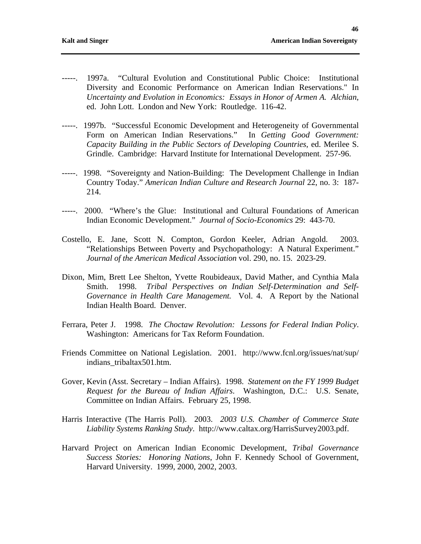- -----. 1997a. "Cultural Evolution and Constitutional Public Choice: Institutional Diversity and Economic Performance on American Indian Reservations." In *Uncertainty and Evolution in Economics: Essays in Honor of Armen A. Alchian*, ed. John Lott. London and New York: Routledge. 116-42.
- -----. 1997b. "Successful Economic Development and Heterogeneity of Governmental Form on American Indian Reservations." In *Getting Good Government: Capacity Building in the Public Sectors of Developing Countries*, ed. Merilee S. Grindle. Cambridge: Harvard Institute for International Development. 257-96.
- -----. 1998. "Sovereignty and Nation-Building: The Development Challenge in Indian Country Today." *American Indian Culture and Research Journal* 22, no. 3: 187- 214.
- -----. 2000. "Where's the Glue: Institutional and Cultural Foundations of American Indian Economic Development." *Journal of Socio-Economics* 29: 443-70.
- Costello, E. Jane, Scott N. Compton, Gordon Keeler, Adrian Angold. 2003. "Relationships Between Poverty and Psychopathology: A Natural Experiment." *Journal of the American Medical Association* vol. 290, no. 15. 2023-29.
- Dixon, Mim, Brett Lee Shelton, Yvette Roubideaux, David Mather, and Cynthia Mala Smith. 1998. *Tribal Perspectives on Indian Self-Determination and Self-Governance in Health Care Management.* Vol. 4. A Report by the National Indian Health Board. Denver.
- Ferrara, Peter J. 1998. *The Choctaw Revolution: Lessons for Federal Indian Policy*. Washington: Americans for Tax Reform Foundation.
- Friends Committee on National Legislation. 2001. http://www.fcnl.org/issues/nat/sup/ indians\_tribaltax501.htm.
- Gover, Kevin (Asst. Secretary Indian Affairs). 1998. *Statement on the FY 1999 Budget Request for the Bureau of Indian Affairs*. Washington, D.C.: U.S. Senate, Committee on Indian Affairs. February 25, 1998.
- Harris Interactive (The Harris Poll). 2003. *2003 U.S. Chamber of Commerce State Liability Systems Ranking Study*. http://www.caltax.org/HarrisSurvey2003.pdf.
- Harvard Project on American Indian Economic Development, *Tribal Governance Success Stories: Honoring Nations*, John F. Kennedy School of Government, Harvard University. 1999, 2000, 2002, 2003.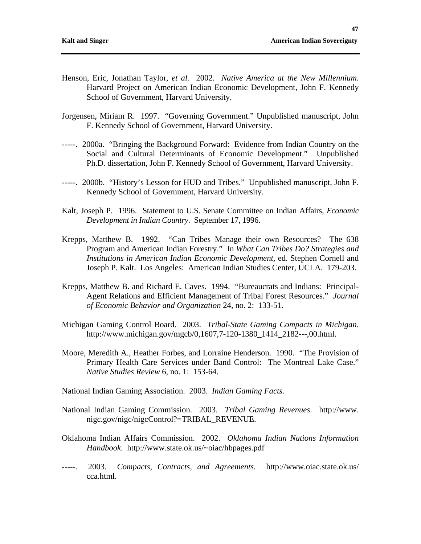- Henson, Eric, Jonathan Taylor, *et al.* 2002. *Native America at the New Millennium*. Harvard Project on American Indian Economic Development, John F. Kennedy School of Government, Harvard University.
- Jorgensen, Miriam R. 1997. "Governing Government." Unpublished manuscript, John F. Kennedy School of Government, Harvard University.
- -----. 2000a. "Bringing the Background Forward: Evidence from Indian Country on the Social and Cultural Determinants of Economic Development." Unpublished Ph.D. dissertation, John F. Kennedy School of Government, Harvard University.
- -----. 2000b. "History's Lesson for HUD and Tribes." Unpublished manuscript, John F. Kennedy School of Government, Harvard University.
- Kalt, Joseph P. 1996. Statement to U.S. Senate Committee on Indian Affairs*, Economic Development in Indian Country*. September 17, 1996.
- Krepps, Matthew B. 1992. "Can Tribes Manage their own Resources? The 638 Program and American Indian Forestry." In *What Can Tribes Do? Strategies and Institutions in American Indian Economic Development*, ed. Stephen Cornell and Joseph P. Kalt. Los Angeles: American Indian Studies Center, UCLA. 179-203.
- Krepps, Matthew B. and Richard E. Caves. 1994. "Bureaucrats and Indians: Principal-Agent Relations and Efficient Management of Tribal Forest Resources." *Journal of Economic Behavior and Organization* 24, no. 2: 133-51.
- Michigan Gaming Control Board. 2003. *Tribal-State Gaming Compacts in Michigan*. http://www.michigan.gov/mgcb/0,1607,7-120-1380\_1414\_2182---,00.html.
- Moore, Meredith A., Heather Forbes, and Lorraine Henderson. 1990. "The Provision of Primary Health Care Services under Band Control: The Montreal Lake Case." *Native Studies Review* 6, no. 1: 153-64.
- National Indian Gaming Association. 2003. *Indian Gaming Facts.*
- National Indian Gaming Commission. 2003. *Tribal Gaming Revenues*. http://www. nigc.gov/nigc/nigcControl?=TRIBAL\_REVENUE.
- Oklahoma Indian Affairs Commission. 2002. *Oklahoma Indian Nations Information Handbook.* http://www.state.ok.us/~oiac/hbpages.pdf
- -----. 2003. *Compacts, Contracts, and Agreements.* http://www.oiac.state.ok.us/ cca.html.